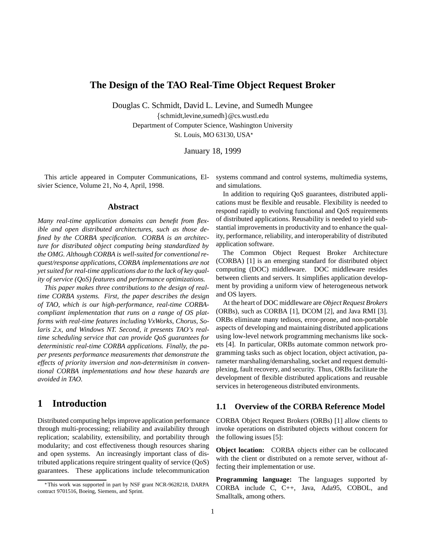# **The Design of the TAO Real-Time Object Request Broker**

Douglas C. Schmidt, David L. Levine, and Sumedh Mungee

 $\{schmidt, levine, sumedh\} @cs.wustledu$ Department of Computer Science, Washington University St. Louis, MO 63130, USA

January 18, 1999

This article appeared in Computer Communications, Elsivier Science, Volume 21, No 4, April, 1998.

#### **Abstract**

*Many real-time application domains can benefit from flexible and open distributed architectures, such as those defined by the CORBA specification. CORBA is an architecture for distributed object computing being standardized by the OMG. Although CORBA is well-suited for conventional request/response applications, CORBA implementations are not yet suited for real-time applications due to the lack of key quality of service (QoS) features and performance optimizations.*

*This paper makes three contributions to the design of realtime CORBA systems. First, the paper describes the design of TAO, which is our high-performance, real-time CORBAcompliant implementation that runs on a range of OS platforms with real-time features including VxWorks, Chorus, Solaris 2.x, and Windows NT. Second, it presents TAO's realtime scheduling service that can provide QoS guarantees for deterministic real-time CORBA applications. Finally, the paper presents performance measurements that demonstrate the effects of priority inversion and non-determinism in conventional CORBA implementations and how these hazards are avoided in TAO.*

# **1 Introduction**

Distributed computing helps improve application performance through multi-processing; reliability and availability through replication; scalability, extensibility, and portability through modularity; and cost effectiveness though resources sharing and open systems. An increasingly important class of distributed applications require stringent quality of service (QoS) guarantees. These applications include telecommunication systems command and control systems, multimedia systems, and simulations.

In addition to requiring QoS guarantees, distributed applications must be flexible and reusable. Flexibility is needed to respond rapidly to evolving functional and QoS requirements of distributed applications. Reusability is needed to yield substantial improvements in productivity and to enhance the quality, performance, reliability, and interoperability of distributed application software.

The Common Object Request Broker Architecture (CORBA) [1] is an emerging standard for distributed object computing (DOC) middleware. DOC middleware resides between clients and servers. It simplifies application development by providing a uniform view of heterogeneous network and OS layers.

At the heart of DOC middleware are *Object Request Brokers* (ORBs), such as CORBA [1], DCOM [2], and Java RMI [3]. ORBs eliminate many tedious, error-prone, and non-portable aspects of developing and maintaining distributed applications using low-level network programming mechanisms like sockets [4]. In particular, ORBs automate common network programming tasks such as object location, object activation, parameter marshaling/demarshaling, socket and request demultiplexing, fault recovery, and security. Thus, ORBs facilitate the development of flexible distributed applications and reusable services in heterogeneous distributed environments.

#### **1.1 Overview of the CORBA Reference Model**

CORBA Object Request Brokers (ORBs) [1] allow clients to invoke operations on distributed objects without concern for the following issues [5]:

**Object location:** CORBA objects either can be collocated with the client or distributed on a remote server, without affecting their implementation or use.

**Programming language:** The languages supported by CORBA include C, C++, Java, Ada95, COBOL, and Smalltalk, among others.

This work was supported in part by NSF grant NCR-9628218, DARPA contract 9701516, Boeing, Siemens, and Sprint.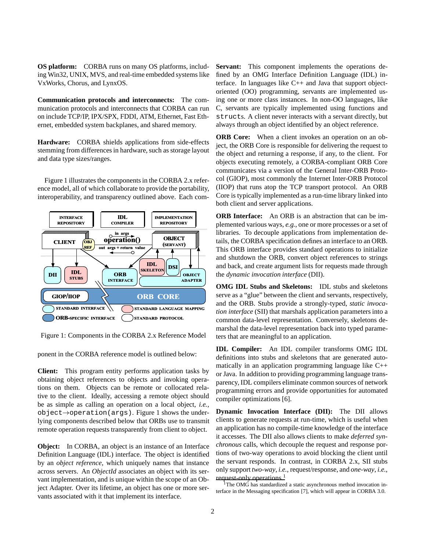**OS platform:** CORBA runs on many OS platforms, including Win32, UNIX, MVS, and real-time embedded systems like VxWorks, Chorus, and LynxOS.

**Communication protocols and interconnects:** The communication protocols and interconnects that CORBA can run on include TCP/IP, IPX/SPX, FDDI, ATM, Ethernet, Fast Ethernet, embedded system backplanes, and shared memory.

**Hardware:** CORBA shields applications from side-effects stemming from differences in hardware, such as storage layout and data type sizes/ranges.

Figure 1 illustrates the components in the CORBA 2.x reference model, all of which collaborate to provide the portability, interoperability, and transparency outlined above. Each com-



Figure 1: Components in the CORBA 2.x Reference Model

ponent in the CORBA reference model is outlined below:

**Client:** This program entity performs application tasks by obtaining object references to objects and invoking operations on them. Objects can be remote or collocated relative to the client. Ideally, accessing a remote object should be as simple as calling an operation on a local object, *i.e.*,  $object \rightarrow operation(args)$ . Figure 1 shows the underlying components described below that ORBs use to transmit remote operation requests transparently from client to object.

**Object:** In CORBA, an object is an instance of an Interface Definition Language (IDL) interface. The object is identified by an *object reference*, which uniquely names that instance across servers. An *ObjectId* associates an object with its servant implementation, and is unique within the scope of an Object Adapter. Over its lifetime, an object has one or more servants associated with it that implement its interface.

**Servant:** This component implements the operations defined by an OMG Interface Definition Language (IDL) interface. In languages like C++ and Java that support objectoriented (OO) programming, servants are implemented using one or more class instances. In non-OO languages, like C, servants are typically implemented using functions and structs. A client never interacts with a servant directly, but always through an object identified by an object reference.

**ORB Core:** When a client invokes an operation on an object, the ORB Core is responsible for delivering the request to the object and returning a response, if any, to the client. For objects executing remotely, a CORBA-compliant ORB Core communicates via a version of the General Inter-ORB Protocol (GIOP), most commonly the Internet Inter-ORB Protocol (IIOP) that runs atop the TCP transport protocol. An ORB Core is typically implemented as a run-time library linked into both client and server applications.

**ORB Interface:** An ORB is an abstraction that can be implemented various ways, *e.g.*, one or more processes or a set of libraries. To decouple applications from implementation details, the CORBA specification defines an interface to an ORB. This ORB interface provides standard operations to initialize and shutdown the ORB, convert object references to strings and back, and create argument lists for requests made through the *dynamic invocation interface* (DII).

**OMG IDL Stubs and Skeletons:** IDL stubs and skeletons serve as a "glue" between the client and servants, respectively, and the ORB. Stubs provide a strongly-typed, *static invocation interface* (SII) that marshals application parameters into a common data-level representation. Conversely, skeletons demarshal the data-level representation back into typed parameters that are meaningful to an application.

**IDL Compiler:** An IDL compiler transforms OMG IDL definitions into stubs and skeletons that are generated automatically in an application programming language like C++ or Java. In addition to providing programming language transparency, IDL compilers eliminate common sources of network programming errors and provide opportunities for automated compiler optimizations [6].

**Dynamic Invocation Interface (DII):** The DII allows clients to generate requests at run-time, which is useful when an application has no compile-time knowledge of the interface it accesses. The DII also allows clients to make *deferred synchronous* calls, which decouple the request and response portions of two-way operations to avoid blocking the client until the servant responds. In contrast, in CORBA 2.x, SII stubs only support *two-way*, *i.e.*, request/response, and *one-way*, *i.e.*, request-only operations.<sup>1</sup>

<sup>1</sup>The OMG has standardized a static asynchronous method invocation interface in the Messaging specification [7], which will appear in CORBA 3.0.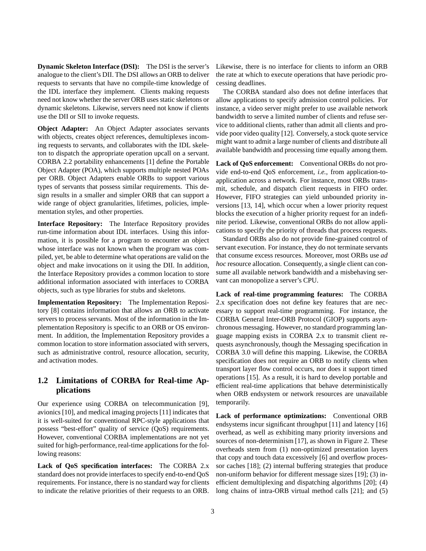**Dynamic Skeleton Interface (DSI):** The DSI is the server's analogue to the client's DII. The DSI allows an ORB to deliver requests to servants that have no compile-time knowledge of the IDL interface they implement. Clients making requests need not know whether the server ORB uses static skeletons or dynamic skeletons. Likewise, servers need not know if clients use the DII or SII to invoke requests.

**Object Adapter:** An Object Adapter associates servants with objects, creates object references, demultiplexes incoming requests to servants, and collaborates with the IDL skeleton to dispatch the appropriate operation upcall on a servant. CORBA 2.2 portability enhancements [1] define the Portable Object Adapter (POA), which supports multiple nested POAs per ORB. Object Adapters enable ORBs to support various types of servants that possess similar requirements. This design results in a smaller and simpler ORB that can support a wide range of object granularities, lifetimes, policies, implementation styles, and other properties.

**Interface Repository:** The Interface Repository provides run-time information about IDL interfaces. Using this information, it is possible for a program to encounter an object whose interface was not known when the program was compiled, yet, be able to determine what operations are valid on the object and make invocations on it using the DII. In addition, the Interface Repository provides a common location to store additional information associated with interfaces to CORBA objects, such as type libraries for stubs and skeletons.

**Implementation Repository:** The Implementation Repository [8] contains information that allows an ORB to activate servers to process servants. Most of the information in the Implementation Repository is specific to an ORB or OS environment. In addition, the Implementation Repository provides a common location to store information associated with servers, such as administrative control, resource allocation, security, and activation modes.

# **1.2 Limitations of CORBA for Real-time Applications**

Our experience using CORBA on telecommunication [9], avionics [10], and medical imaging projects [11] indicates that it is well-suited for conventional RPC-style applications that possess "best-effort" quality of service (QoS) requirements. However, conventional CORBA implementations are not yet suited for high-performance, real-time applications for the following reasons:

**Lack of QoS specification interfaces:** The CORBA 2.x standard does not provide interfaces to specify end-to-end QoS requirements. For instance, there is no standard way for clients to indicate the relative priorities of their requests to an ORB.

Likewise, there is no interface for clients to inform an ORB the rate at which to execute operations that have periodic processing deadlines.

The CORBA standard also does not define interfaces that allow applications to specify admission control policies. For instance, a video server might prefer to use available network bandwidth to serve a limited number of clients and refuse service to additional clients, rather than admit all clients and provide poor video quality [12]. Conversely, a stock quote service might want to admit a large number of clients and distribute all available bandwidth and processing time equally among them.

**Lack of QoS enforcement:** Conventional ORBs do not provide end-to-end QoS enforcement, *i.e.*, from application-toapplication across a network. For instance, most ORBs transmit, schedule, and dispatch client requests in FIFO order. However, FIFO strategies can yield unbounded priority inversions [13, 14], which occur when a lower priority request blocks the execution of a higher priority request for an indefinite period. Likewise, conventional ORBs do not allow applications to specify the priority of threads that process requests.

Standard ORBs also do not provide fine-grained control of servant execution. For instance, they do not terminate servants that consume excess resources. Moreover, most ORBs use *ad hoc* resource allocation. Consequently, a single client can consume all available network bandwidth and a misbehaving servant can monopolize a server's CPU.

**Lack of real-time programming features:** The CORBA 2.x specification does not define key features that are necessary to support real-time programming. For instance, the CORBA General Inter-ORB Protocol (GIOP) supports asynchronous messaging. However, no standard programming language mapping exists in CORBA 2.x to transmit client requests asynchronously, though the Messaging specification in CORBA 3.0 will define this mapping. Likewise, the CORBA specification does not require an ORB to notify clients when transport layer flow control occurs, nor does it support timed operations [15]. As a result, it is hard to develop portable and efficient real-time applications that behave deterministically when ORB endsystem or network resources are unavailable temporarily.

**Lack of performance optimizations:** Conventional ORB endsystems incur significant throughput [11] and latency [16] overhead, as well as exhibiting many priority inversions and sources of non-determinism [17], as shown in Figure 2. These overheads stem from (1) non-optimized presentation layers that copy and touch data excessively [6] and overflow processor caches [18]; (2) internal buffering strategies that produce non-uniform behavior for different message sizes [19]; (3) inefficient demultiplexing and dispatching algorithms [20]; (4) long chains of intra-ORB virtual method calls [21]; and (5)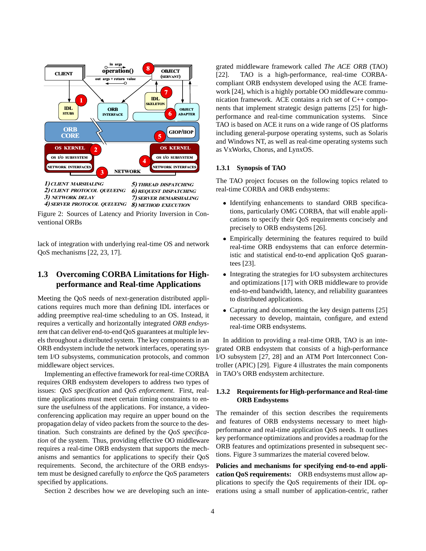

Figure 2: Sources of Latency and Priority Inversion in Conventional ORBs

lack of integration with underlying real-time OS and network QoS mechanisms [22, 23, 17].

# **1.3 Overcoming CORBA Limitations for Highperformance and Real-time Applications**

Meeting the QoS needs of next-generation distributed applications requires much more than defining IDL interfaces or adding preemptive real-time scheduling to an OS. Instead, it requires a vertically and horizontally integrated *ORB endsystem* that can deliver end-to-end QoS guarantees at multiple levels throughout a distributed system. The key components in an ORB endsystem include the network interfaces, operating system I/O subsystems, communication protocols, and common middleware object services.

Implementing an effective framework for real-time CORBA requires ORB endsystem developers to address two types of issues: *QoS specification* and *QoS enforcement*. First, realtime applications must meet certain timing constraints to ensure the usefulness of the applications. For instance, a videoconferencing application may require an upper bound on the propagation delay of video packets from the source to the destination. Such constraints are defined by the *QoS specification* of the system. Thus, providing effective OO middleware requires a real-time ORB endsystem that supports the mechanisms and semantics for applications to specify their QoS requirements. Second, the architecture of the ORB endsystem must be designed carefully to *enforce* the QoS parameters specified by applications.

Section 2 describes how we are developing such an inte-

grated middleware framework called *The ACE ORB* (TAO) [22]. TAO is a high-performance, real-time CORBAcompliant ORB endsystem developed using the ACE framework [24], which is a highly portable OO middleware communication framework. ACE contains a rich set of C++ components that implement strategic design patterns [25] for highperformance and real-time communication systems. Since TAO is based on ACE it runs on a wide range of OS platforms including general-purpose operating systems, such as Solaris and Windows NT, as well as real-time operating systems such as VxWorks, Chorus, and LynxOS.

#### **1.3.1 Synopsis of TAO**

The TAO project focuses on the following topics related to real-time CORBA and ORB endsystems:

- Identifying enhancements to standard ORB specifications, particularly OMG CORBA, that will enable applications to specify their QoS requirements concisely and precisely to ORB endsystems [26].
- Empirically determining the features required to build real-time ORB endsystems that can enforce deterministic and statistical end-to-end application QoS guarantees [23].
- Integrating the strategies for I/O subsystem architectures and optimizations [17] with ORB middleware to provide end-to-end bandwidth, latency, and reliability guarantees to distributed applications.
- Capturing and documenting the key design patterns [25] necessary to develop, maintain, configure, and extend real-time ORB endsystems.

In addition to providing a real-time ORB, TAO is an integrated ORB endsystem that consists of a high-performance I/O subsystem [27, 28] and an ATM Port Interconnect Controller (APIC) [29]. Figure 4 illustrates the main components in TAO's ORB endsystem architecture.

#### **1.3.2 Requirements for High-performance and Real-time ORB Endsystems**

The remainder of this section describes the requirements and features of ORB endsystems necessary to meet highperformance and real-time application QoS needs. It outlines key performance optimizations and provides a roadmap for the ORB features and optimizations presented in subsequent sections. Figure 3 summarizes the material covered below.

**Policies and mechanisms for specifying end-to-end application QoS requirements:** ORB endsystems must allow applications to specify the QoS requirements of their IDL operations using a small number of application-centric, rather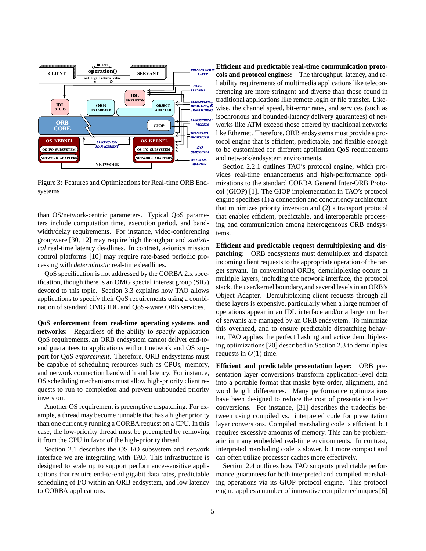

Figure 3: Features and Optimizations for Real-time ORB Endsystems

than OS/network-centric parameters. Typical QoS parameters include computation time, execution period, and bandwidth/delay requirements. For instance, video-conferencing groupware [30, 12] may require high throughput and *statistical* real-time latency deadlines. In contrast, avionics mission control platforms [10] may require rate-based periodic processing with *deterministic* real-time deadlines.

QoS specification is not addressed by the CORBA 2.x specification, though there is an OMG special interest group (SIG) devoted to this topic. Section 3.3 explains how TAO allows applications to specify their QoS requirements using a combination of standard OMG IDL and QoS-aware ORB services.

**QoS enforcement from real-time operating systems and networks:** Regardless of the ability to *specify* application QoS requirements, an ORB endsystem cannot deliver end-toend guarantees to applications without network and OS support for QoS *enforcement*. Therefore, ORB endsystems must be capable of scheduling resources such as CPUs, memory, and network connection bandwidth and latency. For instance, OS scheduling mechanisms must allow high-priority client requests to run to completion and prevent unbounded priority inversion.

Another OS requirement is preemptive dispatching. For example, a thread may become runnable that has a higher priority than one currently running a CORBA request on a CPU. In this case, the low-priority thread must be preempted by removing it from the CPU in favor of the high-priority thread.

Section 2.1 describes the OS I/O subsystem and network interface we are integrating with TAO. This infrastructure is designed to scale up to support performance-sensitive applications that require end-to-end gigabit data rates, predictable scheduling of I/O within an ORB endsystem, and low latency to CORBA applications.

**Efficient and predictable real-time communication protocols and protocol engines:** The throughput, latency, and reliability requirements of multimedia applications like teleconferencing are more stringent and diverse than those found in traditional applications like remote login or file transfer. Likewise, the channel speed, bit-error rates, and services (such as isochronous and bounded-latency delivery guarantees) of networks like ATM exceed those offered by traditional networks like Ethernet. Therefore, ORB endsystems must provide a protocol engine that is efficient, predictable, and flexible enough to be customized for different application QoS requirements and network/endsystem environments.

Section 2.2.1 outlines TAO's protocol engine, which provides real-time enhancements and high-performance optimizations to the standard CORBA General Inter-ORB Protocol (GIOP) [1]. The GIOP implementation in TAO's protocol engine specifies (1) a connection and concurrency architecture that minimizes priority inversion and (2) a transport protocol that enables efficient, predictable, and interoperable processing and communication among heterogeneous ORB endsystems.

**Efficient and predictable request demultiplexing and dispatching:** ORB endsystems must demultiplex and dispatch incoming client requests to the appropriate operation of the target servant. In conventional ORBs, demultiplexing occurs at multiple layers, including the network interface, the protocol stack, the user/kernel boundary, and several levels in an ORB's Object Adapter. Demultiplexing client requests through all these layers is expensive, particularly when a large number of operations appear in an IDL interface and/or a large number of servants are managed by an ORB endsystem. To minimize this overhead, and to ensure predictable dispatching behavior, TAO applies the perfect hashing and active demultiplexing optimizations [20] described in Section 2.3 to demultiplex requests in  $O(1)$  time.

**Efficient and predictable presentation layer:** ORB presentation layer conversions transform application-level data into a portable format that masks byte order, alignment, and word length differences. Many performance optimizations have been designed to reduce the cost of presentation layer conversions. For instance, [31] describes the tradeoffs between using compiled vs. interpreted code for presentation layer conversions. Compiled marshaling code is efficient, but requires excessive amounts of memory. This can be problematic in many embedded real-time environments. In contrast, interpreted marshaling code is slower, but more compact and can often utilize processor caches more effectively.

Section 2.4 outlines how TAO supports predictable performance guarantees for both interpreted and compiled marshaling operations via its GIOP protocol engine. This protocol engine applies a number of innovative compiler techniques [6]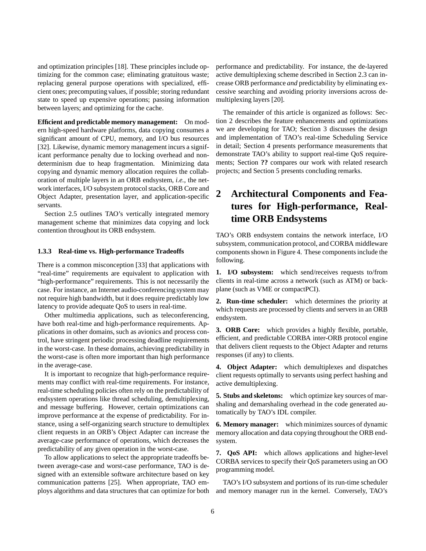and optimization principles [18]. These principles include optimizing for the common case; eliminating gratuitous waste; replacing general purpose operations with specialized, efficient ones; precomputing values, if possible; storing redundant state to speed up expensive operations; passing information between layers; and optimizing for the cache.

**Efficient and predictable memory management:** On modern high-speed hardware platforms, data copying consumes a significant amount of CPU, memory, and I/O bus resources [32]. Likewise, dynamic memory management incurs a significant performance penalty due to locking overhead and nondeterminism due to heap fragmentation. Minimizing data copying and dynamic memory allocation requires the collaboration of multiple layers in an ORB endsystem, *i.e.*, the network interfaces, I/O subsystem protocol stacks, ORB Core and Object Adapter, presentation layer, and application-specific servants.

Section 2.5 outlines TAO's vertically integrated memory management scheme that minimizes data copying and lock contention throughout its ORB endsystem.

#### **1.3.3 Real-time vs. High-performance Tradeoffs**

There is a common misconception [33] that applications with "real-time" requirements are equivalent to application with "high-performance" requirements. This is not necessarily the case. For instance, an Internet audio-conferencing system may not require high bandwidth, but it does require predictably low latency to provide adequate QoS to users in real-time.

Other multimedia applications, such as teleconferencing, have both real-time and high-performance requirements. Applications in other domains, such as avionics and process control, have stringent periodic processing deadline requirements in the worst-case. In these domains, achieving predictability in the worst-case is often more important than high performance in the average-case.

It is important to recognize that high-performance requirements may conflict with real-time requirements. For instance, real-time scheduling policies often rely on the predictability of endsystem operations like thread scheduling, demultiplexing, and message buffering. However, certain optimizations can improve performance at the expense of predictability. For instance, using a self-organizing search structure to demultiplex client requests in an ORB's Object Adapter can increase the average-case performance of operations, which decreases the predictability of any given operation in the worst-case.

To allow applications to select the appropriate tradeoffs between average-case and worst-case performance, TAO is designed with an extensible software architecture based on key communication patterns [25]. When appropriate, TAO employs algorithms and data structures that can optimize for both performance and predictability. For instance, the de-layered active demultiplexing scheme described in Section 2.3 can increase ORB performance *and* predictability by eliminating excessive searching and avoiding priority inversions across demultiplexing layers [20].

The remainder of this article is organized as follows: Section 2 describes the feature enhancements and optimizations we are developing for TAO; Section 3 discusses the design and implementation of TAO's real-time Scheduling Service in detail; Section 4 presents performance measurements that demonstrate TAO's ability to support real-time QoS requirements; Section **??** compares our work with related research projects; and Section 5 presents concluding remarks.

# **2 Architectural Components and Features for High-performance, Realtime ORB Endsystems**

TAO's ORB endsystem contains the network interface, I/O subsystem, communication protocol, and CORBA middleware components shown in Figure 4. These components include the following.

**1. I/O subsystem:** which send/receives requests to/from clients in real-time across a network (such as ATM) or backplane (such as VME or compactPCI).

**2. Run-time scheduler:** which determines the priority at which requests are processed by clients and servers in an ORB endsystem.

**3. ORB Core:** which provides a highly flexible, portable, efficient, and predictable CORBA inter-ORB protocol engine that delivers client requests to the Object Adapter and returns responses (if any) to clients.

**4. Object Adapter:** which demultiplexes and dispatches client requests optimally to servants using perfect hashing and active demultiplexing.

**5. Stubs and skeletons:** which optimize key sources of marshaling and demarshaling overhead in the code generated automatically by TAO's IDL compiler.

**6. Memory manager:** which minimizes sources of dynamic memory allocation and data copying throughout the ORB endsystem.

**7. QoS API:** which allows applications and higher-level CORBA services to specify their QoS parameters using an OO programming model.

TAO's I/O subsystem and portions of its run-time scheduler and memory manager run in the kernel. Conversely, TAO's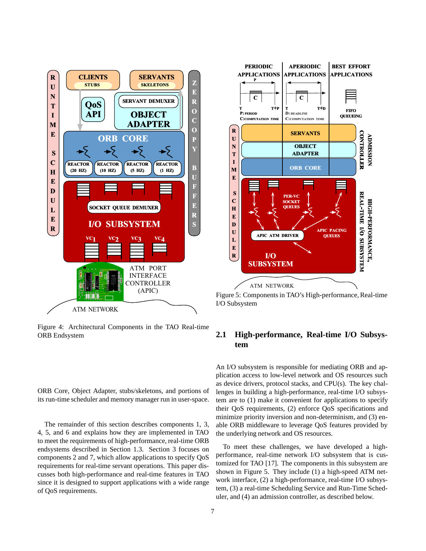

Figure 4: Architectural Components in the TAO Real-time ORB Endsystem

ORB Core, Object Adapter, stubs/skeletons, and portions of its run-time scheduler and memory manager run in user-space.

The remainder of this section describes components 1, 3, 4, 5, and 6 and explains how they are implemented in TAO to meet the requirements of high-performance, real-time ORB endsystems described in Section 1.3. Section 3 focuses on components 2 and 7, which allow applications to specify QoS requirements for real-time servant operations. This paper discusses both high-performance and real-time features in TAO since it is designed to support applications with a wide range of QoS requirements.



Figure 5: Components in TAO's High-performance, Real-time I/O Subsystem

# **2.1 High-performance, Real-time I/O Subsystem**

An I/O subsystem is responsible for mediating ORB and application access to low-level network and OS resources such as device drivers, protocol stacks, and CPU(s). The key challenges in building a high-performance, real-time I/O subsystem are to (1) make it convenient for applications to specify their QoS requirements, (2) enforce QoS specifications and minimize priority inversion and non-determinism, and (3) enable ORB middleware to leverage QoS features provided by the underlying network and OS resources.

To meet these challenges, we have developed a highperformance, real-time network I/O subsystem that is customized for TAO [17]. The components in this subsystem are shown in Figure 5. They include (1) a high-speed ATM network interface, (2) a high-performance, real-time I/O subsystem, (3) a real-time Scheduling Service and Run-Time Scheduler, and (4) an admission controller, as described below.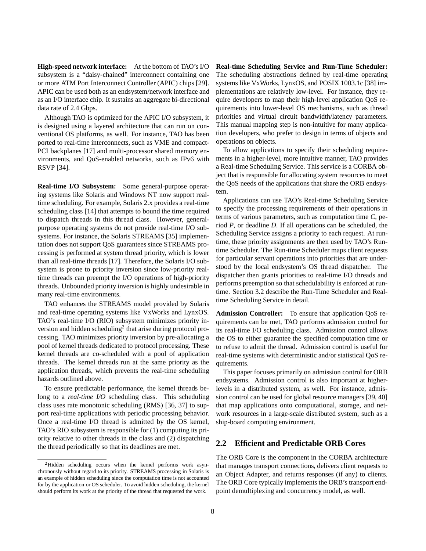**High-speed network interface:** At the bottom of TAO's I/O subsystem is a "daisy-chained" interconnect containing one or more ATM Port Interconnect Controller (APIC) chips [29]. APIC can be used both as an endsystem/network interface and as an I/O interface chip. It sustains an aggregate bi-directional data rate of 2.4 Gbps.

Although TAO is optimized for the APIC I/O subsystem, it is designed using a layered architecture that can run on conventional OS platforms, as well. For instance, TAO has been ported to real-time interconnects, such as VME and compact-PCI backplanes [17] and multi-processor shared memory environments, and QoS-enabled networks, such as IPv6 with RSVP [34].

**Real-time I/O Subsystem:** Some general-purpose operating systems like Solaris and Windows NT now support realtime scheduling. For example, Solaris 2.x provides a real-time scheduling class [14] that attempts to bound the time required to dispatch threads in this thread class. However, generalpurpose operating systems do not provide real-time I/O subsystems. For instance, the Solaris STREAMS [35] implementation does not support QoS guarantees since STREAMS processing is performed at system thread priority, which is lower than all real-time threads [17]. Therefore, the Solaris I/O subsystem is prone to priority inversion since low-priority realtime threads can preempt the I/O operations of high-priority threads. Unbounded priority inversion is highly undesirable in many real-time environments.

TAO enhances the STREAMS model provided by Solaris and real-time operating systems like VxWorks and LynxOS. TAO's real-time I/O (RIO) subsystem minimizes priority inversion and hidden scheduling<sup>2</sup> that arise during protocol processing. TAO minimizes priority inversion by pre-allocating a pool of kernel threads dedicated to protocol processing. These kernel threads are co-scheduled with a pool of application threads. The kernel threads run at the same priority as the application threads, which prevents the real-time scheduling hazards outlined above.

To ensure predictable performance, the kernel threads belong to a *real-time I/O* scheduling class. This scheduling class uses rate monotonic scheduling (RMS) [36, 37] to support real-time applications with periodic processing behavior. Once a real-time I/O thread is admitted by the OS kernel, TAO's RIO subsystem is responsible for (1) computing its priority relative to other threads in the class and (2) dispatching the thread periodically so that its deadlines are met.

**Real-time Scheduling Service and Run-Time Scheduler:** The scheduling abstractions defined by real-time operating systems like VxWorks, LynxOS, and POSIX 1003.1c [38] implementations are relatively low-level. For instance, they require developers to map their high-level application QoS requirements into lower-level OS mechanisms, such as thread priorities and virtual circuit bandwidth/latency parameters. This manual mapping step is non-intuitive for many application developers, who prefer to design in terms of objects and operations on objects.

To allow applications to specify their scheduling requirements in a higher-level, more intuitive manner, TAO provides a Real-time Scheduling Service. This service is a CORBA object that is responsible for allocating system resources to meet the QoS needs of the applications that share the ORB endsystem.

Applications can use TAO's Real-time Scheduling Service to specify the processing requirements of their operations in terms of various parameters, such as computation time *C*, period *P*, or deadline *D*. If all operations can be scheduled, the Scheduling Service assigns a priority to each request. At runtime, these priority assignments are then used by TAO's Runtime Scheduler. The Run-time Scheduler maps client requests for particular servant operations into priorities that are understood by the local endsystem's OS thread dispatcher. The dispatcher then grants priorities to real-time I/O threads and performs preemption so that schedulability is enforced at runtime. Section 3.2 describe the Run-Time Scheduler and Realtime Scheduling Service in detail.

**Admission Controller:** To ensure that application QoS requirements can be met, TAO performs admission control for its real-time I/O scheduling class. Admission control allows the OS to either guarantee the specified computation time or to refuse to admit the thread. Admission control is useful for real-time systems with deterministic and/or statistical QoS requirements.

This paper focuses primarily on admission control for ORB endsystems. Admission control is also important at higherlevels in a distributed system, as well. For instance, admission control can be used for global resource managers [39, 40] that map applications onto computational, storage, and network resources in a large-scale distributed system, such as a ship-board computing environment.

# **2.2 Efficient and Predictable ORB Cores**

The ORB Core is the component in the CORBA architecture that manages transport connections, delivers client requests to an Object Adapter, and returns responses (if any) to clients. The ORB Core typically implements the ORB's transport endpoint demultiplexing and concurrency model, as well.

<sup>&</sup>lt;sup>2</sup>Hidden scheduling occurs when the kernel performs work asynchronously without regard to its priority. STREAMS processing in Solaris is an example of hidden scheduling since the computation time is not accounted for by the application or OS scheduler. To avoid hidden scheduling, the kernel should perform its work at the priority of the thread that requested the work.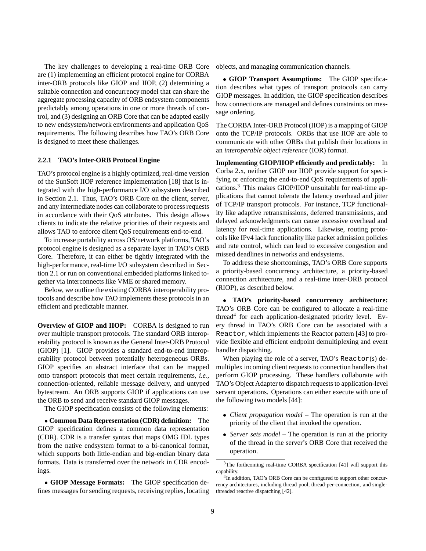The key challenges to developing a real-time ORB Core are (1) implementing an efficient protocol engine for CORBA inter-ORB protocols like GIOP and IIOP, (2) determining a suitable connection and concurrency model that can share the aggregate processing capacity of ORB endsystem components predictably among operations in one or more threads of control, and (3) designing an ORB Core that can be adapted easily to new endsystem/network environments and application QoS requirements. The following describes how TAO's ORB Core is designed to meet these challenges.

#### **2.2.1 TAO's Inter-ORB Protocol Engine**

TAO's protocol engine is a highly optimized, real-time version of the SunSoft IIOP reference implementation [18] that is integrated with the high-performance I/O subsystem described in Section 2.1. Thus, TAO's ORB Core on the client, server, and any intermediate nodes can collaborate to process requests in accordance with their QoS attributes. This design allows clients to indicate the relative priorities of their requests and allows TAO to enforce client QoS requirements end-to-end.

To increase portability across OS/network platforms, TAO's protocol engine is designed as a separate layer in TAO's ORB Core. Therefore, it can either be tightly integrated with the high-performance, real-time I/O subsystem described in Section 2.1 or run on conventional embedded platforms linked together via interconnects like VME or shared memory.

Below, we outline the existing CORBA interoperability protocols and describe how TAO implements these protocols in an efficient and predictable manner.

**Overview of GIOP and IIOP:** CORBA is designed to run over multiple transport protocols. The standard ORB interoperability protocol is known as the General Inter-ORB Protocol (GIOP) [1]. GIOP provides a standard end-to-end interoperability protocol between potentially heterogeneous ORBs. GIOP specifies an abstract interface that can be mapped onto transport protocols that meet certain requirements, *i.e.*, connection-oriented, reliable message delivery, and untyped bytestream. An ORB supports GIOP if applications can use the ORB to send and receive standard GIOP messages.

The GIOP specification consists of the following elements:

 **Common Data Representation (CDR) definition:** The GIOP specification defines a common data representation (CDR). CDR is a transfer syntax that maps OMG IDL types from the native endsystem format to a bi-canonical format, which supports both little-endian and big-endian binary data formats. Data is transferred over the network in CDR encodings.

 **GIOP Message Formats:** The GIOP specification defines messages for sending requests, receiving replies, locating objects, and managing communication channels.

 **GIOP Transport Assumptions:** The GIOP specification describes what types of transport protocols can carry GIOP messages. In addition, the GIOP specification describes how connections are managed and defines constraints on message ordering.

The CORBA Inter-ORB Protocol (IIOP) is a mapping of GIOP onto the TCP/IP protocols. ORBs that use IIOP are able to communicate with other ORBs that publish their locations in an *interoperable object reference* (IOR) format.

**Implementing GIOP/IIOP efficiently and predictably:** In Corba 2.x, neither GIOP nor IIOP provide support for specifying or enforcing the end-to-end QoS requirements of applications.3 This makes GIOP/IIOP unsuitable for real-time applications that cannot tolerate the latency overhead and jitter of TCP/IP transport protocols. For instance, TCP functionality like adaptive retransmissions, deferred transmissions, and delayed acknowledgments can cause excessive overhead and latency for real-time applications. Likewise, routing protocols like IPv4 lack functionality like packet admission policies and rate control, which can lead to excessive congestion and missed deadlines in networks and endsystems.

To address these shortcomings, TAO's ORB Core supports a priority-based concurrency architecture, a priority-based connection architecture, and a real-time inter-ORB protocol (RIOP), as described below.

 **TAO's priority-based concurrency architecture:** TAO's ORB Core can be configured to allocate a real-time thread<sup>4</sup> for each application-designated priority level. Every thread in TAO's ORB Core can be associated with a Reactor, which implements the Reactor pattern [43] to provide flexible and efficient endpoint demultiplexing and event handler dispatching.

When playing the role of a server, TAO's Reactor(s) demultiplex incoming client requests to connection handlers that perform GIOP processing. These handlers collaborate with TAO's Object Adapter to dispatch requests to application-level servant operations. Operations can either execute with one of the following two models [44]:

- *Client propagation model* The operation is run at the priority of the client that invoked the operation.
- *Server sets model* The operation is run at the priority of the thread in the server's ORB Core that received the operation.

<sup>&</sup>lt;sup>3</sup>The forthcoming real-time CORBA specification [41] will support this capability.

<sup>&</sup>lt;sup>4</sup>In addition, TAO's ORB Core can be configured to support other concurrency architectures, including thread pool, thread-per-connection, and singlethreaded reactive dispatching [42].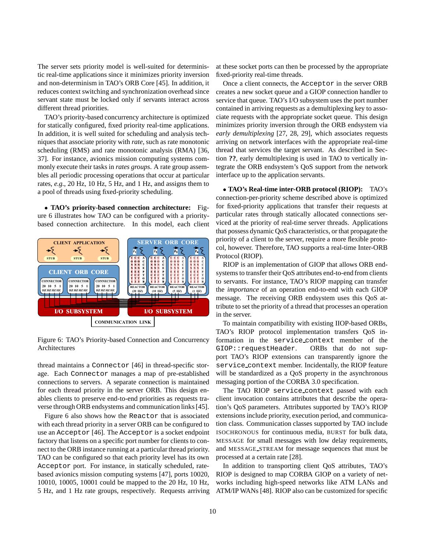The server sets priority model is well-suited for deterministic real-time applications since it minimizes priority inversion and non-determinism in TAO's ORB Core [45]. In addition, it reduces context switching and synchronization overhead since servant state must be locked only if servants interact across different thread priorities.

TAO's priority-based concurrency architecture is optimized for statically configured, fixed priority real-time applications. In addition, it is well suited for scheduling and analysis techniques that associate priority with *rate*, such as rate monotonic scheduling (RMS) and rate monotonic analysis (RMA) [36, 37]. For instance, avionics mission computing systems commonly execute their tasks in *rates groups*. A rate group assembles all periodic processing operations that occur at particular rates, *e.g.*, 20 Hz, 10 Hz, 5 Hz, and 1 Hz, and assigns them to a pool of threads using fixed-priority scheduling.

 **TAO's priority-based connection architecture:** Figure 6 illustrates how TAO can be configured with a prioritybased connection architecture. In this model, each client



Figure 6: TAO's Priority-based Connection and Concurrency Architectures

thread maintains a Connector [46] in thread-specific storage. Each Connector manages a map of pre-established connections to servers. A separate connection is maintained for each thread priority in the server ORB. This design enables clients to preserve end-to-end priorities as requests traverse through ORB endsystems and communication links [45].

Figure 6 also shows how the Reactor that is associated with each thread priority in a server ORB can be configured to use an Acceptor [46]. The Acceptor is a socket endpoint factory that listens on a specific port number for clients to connect to the ORB instance running at a particular thread priority. TAO can be configured so that each priority level has its own Acceptor port. For instance, in statically scheduled, ratebased avionics mission computing systems [47], ports 10020, 10010, 10005, 10001 could be mapped to the 20 Hz, 10 Hz, 5 Hz, and 1 Hz rate groups, respectively. Requests arriving at these socket ports can then be processed by the appropriate fixed-priority real-time threads.

Once a client connects, the Acceptor in the server ORB creates a new socket queue and a GIOP connection handler to service that queue. TAO's I/O subsystem uses the port number contained in arriving requests as a demultiplexing key to associate requests with the appropriate socket queue. This design minimizes priority inversion through the ORB endsystem via *early demultiplexing* [27, 28, 29], which associates requests arriving on network interfaces with the appropriate real-time thread that services the target servant. As described in Section **??**, early demultiplexing is used in TAO to vertically integrate the ORB endsystem's QoS support from the network interface up to the application servants.

 **TAO's Real-time inter-ORB protocol (RIOP):** TAO's connection-per-priority scheme described above is optimized for fixed-priority applications that transfer their requests at particular rates through statically allocated connections serviced at the priority of real-time server threads. Applications that possess dynamic QoS characteristics, or that propagate the priority of a client to the server, require a more flexible protocol, however. Therefore, TAO supports a real-time Inter-ORB Protocol (RIOP).

RIOP is an implementation of GIOP that allows ORB endsystems to transfer their QoS attributes end-to-end from clients to servants. For instance, TAO's RIOP mapping can transfer the *importance* of an operation end-to-end with each GIOP message. The receiving ORB endsystem uses this QoS attribute to set the priority of a thread that processes an operation in the server.

To maintain compatibility with existing IIOP-based ORBs, TAO's RIOP protocol implementation transfers QoS information in the service context member of the GIOP::requestHeader. ORBs that do not support TAO's RIOP extensions can transparently ignore the service context member. Incidentally, the RIOP feature will be standardized as a QoS property in the asynchronous messaging portion of the CORBA 3.0 specification.

The TAO RIOP service context passed with each client invocation contains attributes that describe the operation's QoS parameters. Attributes supported by TAO's RIOP extensions include priority, execution period, and communication class. Communication classes supported by TAO include ISOCHRONOUS for continuous media, BURST for bulk data, MESSAGE for small messages with low delay requirements, and MESSAGE STREAM for message sequences that must be processed at a certain rate [28].

In addition to transporting client QoS attributes, TAO's RIOP is designed to map CORBA GIOP on a variety of networks including high-speed networks like ATM LANs and ATM/IP WANs [48]. RIOP also can be customized for specific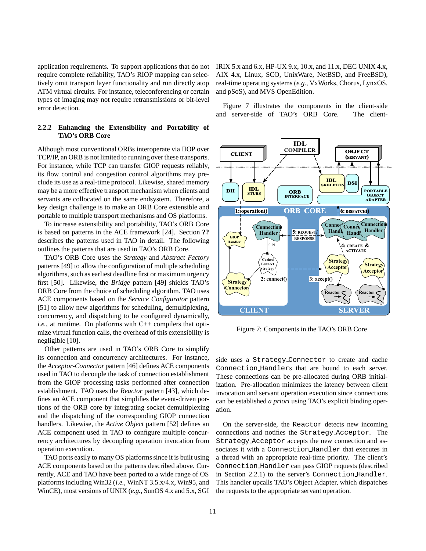application requirements. To support applications that do not require complete reliability, TAO's RIOP mapping can selectively omit transport layer functionality and run directly atop ATM virtual circuits. For instance, teleconferencing or certain types of imaging may not require retransmissions or bit-level error detection.

#### **2.2.2 Enhancing the Extensibility and Portability of TAO's ORB Core**

Although most conventional ORBs interoperate via IIOP over TCP/IP, an ORB is not limited to running over these transports. For instance, while TCP can transfer GIOP requests reliably, its flow control and congestion control algorithms may preclude its use as a real-time protocol. Likewise, shared memory may be a more effective transport mechanism when clients and servants are collocated on the same endsystem. Therefore, a key design challenge is to make an ORB Core extensible and portable to multiple transport mechanisms and OS platforms.

To increase extensibility and portability, TAO's ORB Core is based on patterns in the ACE framework [24]. Section **??** describes the patterns used in TAO in detail. The following outlines the patterns that are used in TAO's ORB Core.

TAO's ORB Core uses the *Strategy* and *Abstract Factory* patterns [49] to allow the configuration of multiple scheduling algorithms, such as earliest deadline first or maximum urgency first [50]. Likewise, the *Bridge* pattern [49] shields TAO's ORB Core from the choice of scheduling algorithm. TAO uses ACE components based on the *Service Configurator* pattern [51] to allow new algorithms for scheduling, demultiplexing, concurrency, and dispatching to be configured dynamically, *i.e.*, at runtime. On platforms with C++ compilers that optimize virtual function calls, the overhead of this extensibility is negligible [10].

Other patterns are used in TAO's ORB Core to simplify its connection and concurrency architectures. For instance, the *Acceptor-Connector* pattern [46] defines ACE components used in TAO to decouple the task of connection establishment from the GIOP processing tasks performed after connection establishment. TAO uses the *Reactor* pattern [43], which defines an ACE component that simplifies the event-driven portions of the ORB core by integrating socket demultiplexing and the dispatching of the corresponding GIOP connection handlers. Likewise, the *Active Object* pattern [52] defines an ACE component used in TAO to configure multiple concurrency architectures by decoupling operation invocation from operation execution.

TAO ports easily to many OS platforms since it is built using ACE components based on the patterns described above. Currently, ACE and TAO have been ported to a wide range of OS platforms including Win32 (*i.e.*, WinNT 3.5.x/4.x, Win95, and WinCE), most versions of UNIX (*e.g.*, SunOS 4.x and 5.x, SGI IRIX 5.x and 6.x, HP-UX 9.x, 10.x, and 11.x, DEC UNIX 4.x, AIX 4.x, Linux, SCO, UnixWare, NetBSD, and FreeBSD), real-time operating systems (*e.g.*, VxWorks, Chorus, LynxOS, and pSoS), and MVS OpenEdition.

Figure 7 illustrates the components in the client-side and server-side of TAO's ORB Core. The client-



Figure 7: Components in the TAO's ORB Core

side uses a Strategy Connector to create and cache Connection Handlers that are bound to each server. These connections can be pre-allocated during ORB initialization. Pre-allocation minimizes the latency between client invocation and servant operation execution since connections can be established *a priori* using TAO's explicit binding operation.

On the server-side, the Reactor detects new incoming connections and notifies the Strategy Acceptor. The Strategy Acceptor accepts the new connection and associates it with a Connection Handler that executes in a thread with an appropriate real-time priority. The client's Connection Handler can pass GIOP requests (described in Section 2.2.1) to the server's Connection Handler. This handler upcalls TAO's Object Adapter, which dispatches the requests to the appropriate servant operation.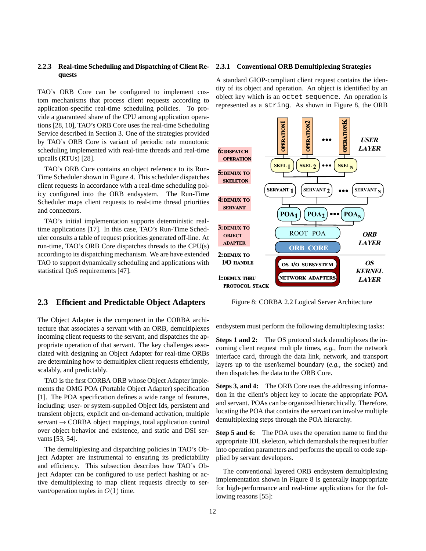# **quests**

TAO's ORB Core can be configured to implement custom mechanisms that process client requests according to application-specific real-time scheduling policies. To provide a guaranteed share of the CPU among application operations [28, 10], TAO's ORB Core uses the real-time Scheduling Service described in Section 3. One of the strategies provided by TAO's ORB Core is variant of periodic rate monotonic scheduling implemented with real-time threads and real-time upcalls (RTUs) [28].

TAO's ORB Core contains an object reference to its Run-Time Scheduler shown in Figure 4. This scheduler dispatches client requests in accordance with a real-time scheduling policy configured into the ORB endsystem. The Run-Time Scheduler maps client requests to real-time thread priorities and connectors.

TAO's initial implementation supports deterministic realtime applications [17]. In this case, TAO's Run-Time Scheduler consults a table of request priorities generated off-line. At run-time, TAO's ORB Core dispatches threads to the CPU(s) according to its dispatching mechanism. We are have extended TAO to support dynamically scheduling and applications with statistical QoS requirements [47].

### **2.3 Efficient and Predictable Object Adapters**

The Object Adapter is the component in the CORBA architecture that associates a servant with an ORB, demultiplexes incoming client requests to the servant, and dispatches the appropriate operation of that servant. The key challenges associated with designing an Object Adapter for real-time ORBs are determining how to demultiplex client requests efficiently, scalably, and predictably.

TAO is the first CORBA ORB whose Object Adapter implements the OMG POA (Portable Object Adapter) specification [1]. The POA specification defines a wide range of features, including: user- or system-supplied Object Ids, persistent and transient objects, explicit and on-demand activation, multiple  $s$ ervant  $\rightarrow$  CORBA object mappings, total application control over object behavior and existence, and static and DSI servants [53, 54].

The demultiplexing and dispatching policies in TAO's Object Adapter are instrumental to ensuring its predictability and efficiency. This subsection describes how TAO's Object Adapter can be configured to use perfect hashing or active demultiplexing to map client requests directly to servant/operation tuples in  $O(1)$  time.

#### **2.2.3 Real-time Scheduling and Dispatching of Client Re-2.3.1 Conventional ORB Demultiplexing Strategies**

A standard GIOP-compliant client request contains the identity of its object and operation. An object is identified by an object key which is an octet sequence. An operation is represented as a string. As shown in Figure 8, the ORB



Figure 8: CORBA 2.2 Logical Server Architecture

endsystem must perform the following demultiplexing tasks:

**Steps 1 and 2:** The OS protocol stack demultiplexes the incoming client request multiple times, *e.g.*, from the network interface card, through the data link, network, and transport layers up to the user/kernel boundary (*e.g.*, the socket) and then dispatches the data to the ORB Core.

**Steps 3, and 4:** The ORB Core uses the addressing information in the client's object key to locate the appropriate POA and servant. POAs can be organized hierarchically. Therefore, locating the POA that contains the servant can involve multiple demultiplexing steps through the POA hierarchy.

**Step 5 and 6:** The POA uses the operation name to find the appropriate IDL skeleton, which demarshals the request buffer into operation parameters and performs the upcall to code supplied by servant developers.

The conventional layered ORB endsystem demultiplexing implementation shown in Figure 8 is generally inappropriate for high-performance and real-time applications for the following reasons [55]: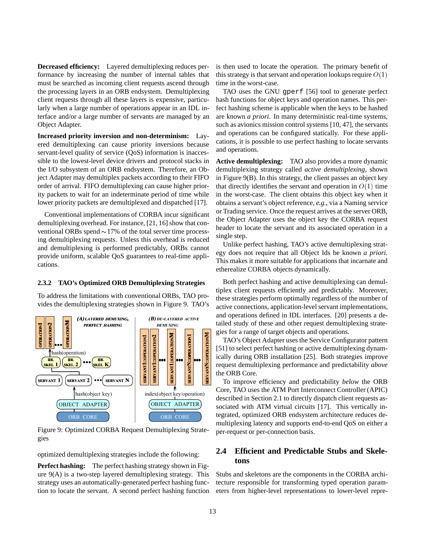**Decreased efficiency:** Layered demultiplexing reduces performance by increasing the number of internal tables that must be searched as incoming client requests ascend through the processing layers in an ORB endsystem. Demultiplexing client requests through all these layers is expensive, particularly when a large number of operations appear in an IDL interface and/or a large number of servants are managed by an Object Adapter.

**Increased priority inversion and non-determinism:** Layered demultiplexing can cause priority inversions because servant-level quality of service (QoS) information is inaccessible to the lowest-level device drivers and protocol stacks in the I/O subsystem of an ORB endsystem. Therefore, an Object Adapter may demultiplex packets according to their FIFO order of arrival. FIFO demultiplexing can cause higher priority packets to wait for an indeterminate period of time while lower priority packets are demultiplexed and dispatched [17].

Conventional implementations of CORBA incur significant demultiplexing overhead. For instance, [21, 16] show that conventional ORBs spend  $\sim$ 17% of the total server time processing demultiplexing requests. Unless this overhead is reduced and demultiplexing is performed predictably, ORBs cannot provide uniform, scalable QoS guarantees to real-time applications.

#### **2.3.2 TAO's Optimized ORB Demultiplexing Strategies**

To address the limitations with conventional ORBs, TAO provides the demultiplexing strategies shown in Figure 9. TAO's



Figure 9: Optimized CORBA Request Demultiplexing Strategies

optimized demultiplexing strategies include the following:

**Perfect hashing:** The perfect hashing strategy shown in Figure 9(A) is a two-step layered demultiplexing strategy. This strategy uses an automatically-generated perfect hashing function to locate the servant. A second perfect hashing function is then used to locate the operation. The primary benefit of this strategy is that servant and operation lookups require  $O(1)$ time in the worst-case.

TAO uses the GNU gperf [56] tool to generate perfect hash functions for object keys and operation names. This perfect hashing scheme is applicable when the keys to be hashed are known *a priori*. In many deterministic real-time systems, such as avionics mission control systems [10, 47], the servants and operations can be configured statically. For these applications, it is possible to use perfect hashing to locate servants and operations.

**Active demultiplexing:** TAO also provides a more dynamic demultiplexing strategy called *active demultiplexing*, shown in Figure 9(B). In this strategy, the client passes an object key that directly identifies the servant and operation in  $O(1)$  time in the worst-case. The client obtains this object key when it obtains a servant's object reference, *e.g.*, via a Naming service or Trading service. Once the request arrives at the server ORB, the Object Adapter uses the object key the CORBA request header to locate the servant and its associated operation in a single step.

Unlike perfect hashing, TAO's active demultiplexing strategy does not require that all Object Ids be known *a priori*. This makes it more suitable for applications that incarnate and etherealize CORBA objects dynamically.

Both perfect hashing and active demultiplexing can demultiplex client requests efficiently and predictably. Moreover, these strategies perform optimally regardless of the number of active connections, application-level servant implementations, and operations defined in IDL interfaces. [20] presents a detailed study of these and other request demultiplexing strategies for a range of target objects and operations.

TAO's Object Adapter uses the Service Configurator pattern [51] to select perfect hashing or active demultiplexing dynamically during ORB installation [25]. Both strategies improve request demultiplexing performance and predictability *above* the ORB Core.

To improve efficiency and predictability *below* the ORB Core, TAO uses the ATM Port Interconnect Controller (APIC) described in Section 2.1 to directly dispatch client requests associated with ATM virtual circuits [17]. This vertically integrated, optimized ORB endsystem architecture reduces demultiplexing latency and supports end-to-end QoS on either a per-request or per-connection basis.

# **2.4 Efficient and Predictable Stubs and Skeletons**

Stubs and skeletons are the components in the CORBA architecture responsible for transforming typed operation parameters from higher-level representations to lower-level repre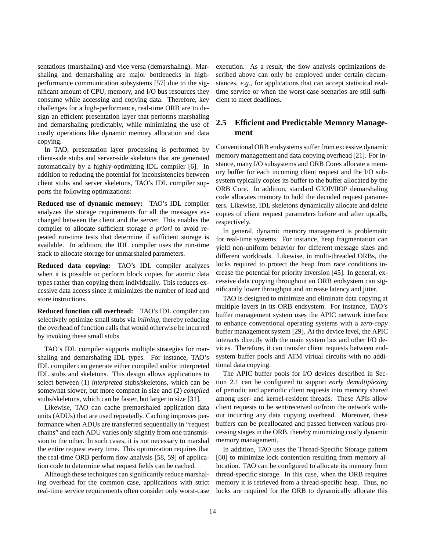sentations (marshaling) and vice versa (demarshaling). Marshaling and demarshaling are major bottlenecks in highperformance communication subsystems [57] due to the significant amount of CPU, memory, and I/O bus resources they consume while accessing and copying data. Therefore, key challenges for a high-performance, real-time ORB are to design an efficient presentation layer that performs marshaling and demarshaling predictably, while minimizing the use of costly operations like dynamic memory allocation and data copying.

In TAO, presentation layer processing is performed by client-side stubs and server-side skeletons that are generated automatically by a highly-optimizing IDL compiler [6]. In addition to reducing the potential for inconsistencies between client stubs and server skeletons, TAO's IDL compiler supports the following optimizations:

**Reduced use of dynamic memory:** TAO's IDL compiler analyzes the storage requirements for all the messages exchanged between the client and the server. This enables the compiler to allocate sufficient storage *a priori* to avoid repeated run-time tests that determine if sufficient storage is available. In addition, the IDL compiler uses the run-time stack to allocate storage for unmarshaled parameters.

**Reduced data copying:** TAO's IDL compiler analyzes when it is possible to perform block copies for atomic data types rather than copying them individually. This reduces excessive data access since it minimizes the number of load and store instructions.

**Reduced function call overhead:** TAO's IDL compiler can selectively optimize small stubs via *inlining*, thereby reducing the overhead of function calls that would otherwise be incurred by invoking these small stubs.

TAO's IDL compiler supports multiple strategies for marshaling and demarshaling IDL types. For instance, TAO's IDL compiler can generate either compiled and/or interpreted IDL stubs and skeletons. This design allows applications to select between (1) *interpreted* stubs/skeletons, which can be somewhat slower, but more compact in size and (2) *compiled* stubs/skeletons, which can be faster, but larger in size [31].

Likewise, TAO can cache premarshaled application data units (ADUs) that are used repeatedly. Caching improves performance when ADUs are transferred sequentially in "request chains" and each ADU varies only slightly from one transmission to the other. In such cases, it is not necessary to marshal the entire request every time. This optimization requires that the real-time ORB perform flow analysis [58, 59] of application code to determine what request fields can be cached.

Although these techniques can significantly reduce marshaling overhead for the common case, applications with strict real-time service requirements often consider only worst-case execution. As a result, the flow analysis optimizations described above can only be employed under certain circumstances, *e.g.*, for applications that can accept statistical realtime service or when the worst-case scenarios are still sufficient to meet deadlines.

# **2.5 Efficient and Predictable Memory Management**

Conventional ORB endsystems suffer from excessive dynamic memory management and data copying overhead [21]. For instance, many I/O subsystems and ORB Cores allocate a memory buffer for each incoming client request and the I/O subsystem typically copies its buffer to the buffer allocated by the ORB Core. In addition, standard GIOP/IIOP demarshaling code allocates memory to hold the decoded request parameters. Likewise, IDL skeletons dynamically allocate and delete copies of client request parameters before and after upcalls, respectively.

In general, dynamic memory management is problematic for real-time systems. For instance, heap fragmentation can yield non-uniform behavior for different message sizes and different workloads. Likewise, in multi-threaded ORBs, the locks required to protect the heap from race conditions increase the potential for priority inversion [45]. In general, excessive data copying throughout an ORB endsystem can significantly lower throughput and increase latency and jitter.

TAO is designed to minimize and eliminate data copying at multiple layers in its ORB endsystem. For instance, TAO's buffer management system uses the APIC network interface to enhance conventional operating systems with a *zero-copy* buffer management system [29]. At the device level, the APIC interacts directly with the main system bus and other I/O devices. Therefore, it can transfer client requests between endsystem buffer pools and ATM virtual circuits with no additional data copying.

The APIC buffer pools for I/O devices described in Section 2.1 can be configured to support *early demultiplexing* of periodic and aperiodic client requests into memory shared among user- and kernel-resident threads. These APIs allow client requests to be sent/received to/from the network without incurring any data copying overhead. Moreover, these buffers can be preallocated and passed between various processing stages in the ORB, thereby minimizing costly dynamic memory management.

In addition, TAO uses the Thread-Specific Storage pattern [60] to minimize lock contention resulting from memory allocation. TAO can be configured to allocate its memory from thread-specific storage. In this case, when the ORB requires memory it is retrieved from a thread-specific heap. Thus, no locks are required for the ORB to dynamically allocate this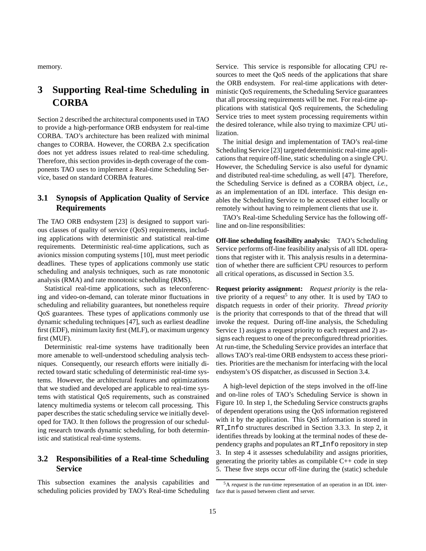memory.

# **3 Supporting Real-time Scheduling in CORBA**

Section 2 described the architectural components used in TAO to provide a high-performance ORB endsystem for real-time CORBA. TAO's architecture has been realized with minimal changes to CORBA. However, the CORBA 2.x specification does not yet address issues related to real-time scheduling. Therefore, this section provides in-depth coverage of the components TAO uses to implement a Real-time Scheduling Service, based on standard CORBA features.

# **3.1 Synopsis of Application Quality of Service Requirements**

The TAO ORB endsystem [23] is designed to support various classes of quality of service (QoS) requirements, including applications with deterministic and statistical real-time requirements. Deterministic real-time applications, such as avionics mission computing systems [10], must meet periodic deadlines. These types of applications commonly use static scheduling and analysis techniques, such as rate monotonic analysis (RMA) and rate monotonic scheduling (RMS).

Statistical real-time applications, such as teleconferencing and video-on-demand, can tolerate minor fluctuations in scheduling and reliability guarantees, but nonetheless require QoS guarantees. These types of applications commonly use dynamic scheduling techniques [47], such as earliest deadline first (EDF), minimum laxity first (MLF), or maximum urgency first (MUF).

Deterministic real-time systems have traditionally been more amenable to well-understood scheduling analysis techniques. Consequently, our research efforts were initially directed toward static scheduling of deterministic real-time systems. However, the architectural features and optimizations that we studied and developed are applicable to real-time systems with statistical QoS requirements, such as constrained latency multimedia systems or telecom call processing. This paper describes the static scheduling service we initially developed for TAO. It then follows the progression of our scheduling research towards dynamic scheduling, for both deterministic and statistical real-time systems.

# **3.2 Responsibilities of a Real-time Scheduling Service**

This subsection examines the analysis capabilities and scheduling policies provided by TAO's Real-time Scheduling Service. This service is responsible for allocating CPU resources to meet the QoS needs of the applications that share the ORB endsystem. For real-time applications with deterministic QoS requirements, the Scheduling Service guarantees that all processing requirements will be met. For real-time applications with statistical QoS requirements, the Scheduling Service tries to meet system processing requirements within the desired tolerance, while also trying to maximize CPU utilization.

The initial design and implementation of TAO's real-time Scheduling Service [23] targeted deterministic real-time applications that require off-line, static scheduling on a single CPU. However, the Scheduling Service is also useful for dynamic and distributed real-time scheduling, as well [47]. Therefore, the Scheduling Service is defined as a CORBA object, *i.e.*, as an implementation of an IDL interface. This design enables the Scheduling Service to be accessed either locally or remotely without having to reimplement clients that use it.

TAO's Real-time Scheduling Service has the following offline and on-line responsibilities:

**Off-line scheduling feasibility analysis:** TAO's Scheduling Service performs off-line feasibility analysis of all IDL operations that register with it. This analysis results in a determination of whether there are sufficient CPU resources to perform all critical operations, as discussed in Section 3.5.

**Request priority assignment:** *Request priority* is the relative priority of a request<sup>5</sup> to any other. It is used by TAO to dispatch requests in order of their priority. *Thread priority* is the priority that corresponds to that of the thread that will invoke the request. During off-line analysis, the Scheduling Service 1) assigns a request priority to each request and 2) assigns each request to one of the preconfigured thread priorities. At run-time, the Scheduling Service provides an interface that allows TAO's real-time ORB endsystem to access these priorities. Priorities are the mechanism for interfacing with the local endsystem's OS dispatcher, as discussed in Section 3.4.

A high-level depiction of the steps involved in the off-line and on-line roles of TAO's Scheduling Service is shown in Figure 10. In step 1, the Scheduling Service constructs graphs of dependent operations using the QoS information registered with it by the application. This QoS information is stored in RT Info structures described in Section 3.3.3. In step 2, it identifies threads by looking at the terminal nodes of these dependency graphs and populates an RT Info repository in step 3. In step 4 it assesses schedulability and assigns priorities, generating the priority tables as compilable C++ code in step 5. These five steps occur off-line during the (static) schedule

<sup>5</sup>A *request* is the run-time representation of an operation in an IDL interface that is passed between client and server.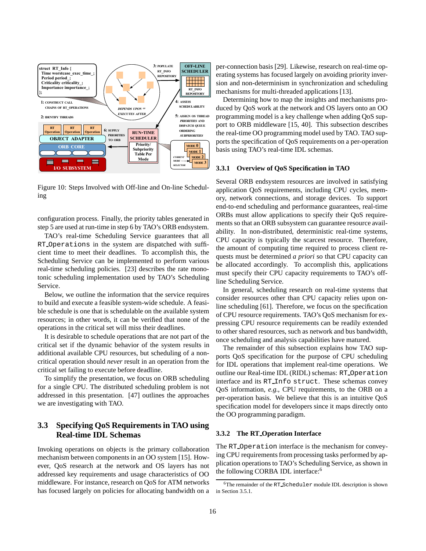

Figure 10: Steps Involved with Off-line and On-line Scheduling

configuration process. Finally, the priority tables generated in step 5 are used at run-time in step 6 by TAO's ORB endsystem.

TAO's real-time Scheduling Service guarantees that all RT Operations in the system are dispatched with sufficient time to meet their deadlines. To accomplish this, the Scheduling Service can be implemented to perform various real-time scheduling policies. [23] describes the rate monotonic scheduling implementation used by TAO's Scheduling Service.

Below, we outline the information that the service requires to build and execute a feasible system-wide schedule. A feasible schedule is one that is schedulable on the available system resources; in other words, it can be verified that none of the operations in the critical set will miss their deadlines.

It is desirable to schedule operations that are not part of the critical set if the dynamic behavior of the system results in additional available CPU resources, but scheduling of a noncritical operation should *never* result in an operation from the critical set failing to execute before deadline.

To simplify the presentation, we focus on ORB scheduling for a single CPU. The distributed scheduling problem is not addressed in this presentation. [47] outlines the approaches we are investigating with TAO.

# **3.3 Specifying QoS Requirements in TAO using Real-time IDL Schemas**

Invoking operations on objects is the primary collaboration mechanism between components in an OO system [15]. However, QoS research at the network and OS layers has not addressed key requirements and usage characteristics of OO middleware. For instance, research on QoS for ATM networks has focused largely on policies for allocating bandwidth on a per-connection basis [29]. Likewise, research on real-time operating systems has focused largely on avoiding priority inversion and non-determinism in synchronization and scheduling mechanisms for multi-threaded applications [13].

Determining how to map the insights and mechanisms produced by QoS work at the network and OS layers onto an OO programming model is a key challenge when adding QoS support to ORB middleware [15, 40]. This subsection describes the real-time OO programming model used by TAO. TAO supports the specification of QoS requirements on a per-operation basis using TAO's real-time IDL schemas.

#### **3.3.1 Overview of QoS Specification in TAO**

Several ORB endsystem resources are involved in satisfying application QoS requirements, including CPU cycles, memory, network connections, and storage devices. To support end-to-end scheduling and performance guarantees, real-time ORBs must allow applications to specify their QoS requirements so that an ORB subsystem can guarantee resource availability. In non-distributed, deterministic real-time systems, CPU capacity is typically the scarcest resource. Therefore, the amount of computing time required to process client requests must be determined *a priori* so that CPU capacity can be allocated accordingly. To accomplish this, applications must specify their CPU capacity requirements to TAO's offline Scheduling Service.

In general, scheduling research on real-time systems that consider resources other than CPU capacity relies upon online scheduling [61]. Therefore, we focus on the specification of CPU resource requirements. TAO's QoS mechanism for expressing CPU resource requirements can be readily extended to other shared resources, such as network and bus bandwidth, once scheduling and analysis capabilities have matured.

The remainder of this subsection explains how TAO supports QoS specification for the purpose of CPU scheduling for IDL operations that implement real-time operations. We outline our Real-time IDL (RIDL) schemas: RT\_Operation interface and its RT Info struct. These schemas convey QoS information, *e.g.*, CPU requirements, to the ORB on a per-operation basis. We believe that this is an intuitive QoS specification model for developers since it maps directly onto the OO programming paradigm.

#### **3.3.2 The RT Operation Interface**

The RT Operation interface is the mechanism for conveying CPU requirements from processing tasks performed by application operations to TAO's Scheduling Service, as shown in the following CORBA IDL interface:<sup>6</sup>

<sup>6</sup>The remainder of the RT Scheduler module IDL description is shown in Section 3.5.1.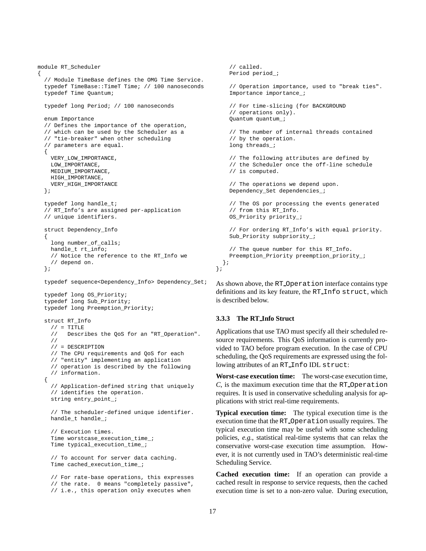```
module RT_Scheduler
{
  // Module TimeBase defines the OMG Time Service.
  typedef TimeBase::TimeT Time; // 100 nanoseconds
  typedef Time Quantum;
  typedef long Period; // 100 nanoseconds
  enum Importance
  // Defines the importance of the operation,
  // which can be used by the Scheduler as a
  // "tie-breaker" when other scheduling
  // parameters are equal.
  {
   VERY_LOW_IMPORTANCE,
   LOW_IMPORTANCE,
   MEDIUM_IMPORTANCE,
   HIGH_IMPORTANCE,
   VERY_HIGH_IMPORTANCE
  };
  typedef long handle_t;
  // RT_Info's are assigned per-application
  // unique identifiers.
  struct Dependency_Info
  {
    long number_of_calls;
   handle_t rt_info;
    // Notice the reference to the RT_Info we
    // depend on.
  };
  typedef sequence<Dependency_Info> Dependency_Set;
  typedef long OS_Priority;
  typedef long Sub_Priority;
  typedef long Preemption_Priority;
  struct RT_Info
    // = TITLE// Describes the QoS for an "RT_Operation".
    //
    // = DESCRIPTION
    // The CPU requirements and QoS for each
    // "entity" implementing an application
    // operation is described by the following
    // information.
  {
    // Application-defined string that uniquely
    // identifies the operation.
    string entry_point_;
    // The scheduler-defined unique identifier.
    handle_t handle_;
    // Execution times.
    Time worstcase_execution_time_;
    Time typical_execution_time_;
    // To account for server data caching.
   Time cached_execution_time_;
    // For rate-base operations, this expresses
    // the rate. 0 means "completely passive",
                                                      };
```
// i.e., this operation only executes when

```
// called.
  Period period_;
  // Operation importance, used to "break ties".
  Importance importance_;
  // For time-slicing (for BACKGROUND
  // operations only).
  Quantum quantum_;
  // The number of internal threads contained
  // by the operation.
  long threads_;
  // The following attributes are defined by
  // the Scheduler once the off-line schedule
  // is computed.
  // The operations we depend upon.
  Dependency_Set dependencies_;
  // The OS por processing the events generated
  // from this RT_Info.
  OS_Priority priority_;
  // For ordering RT_Info's with equal priority.
  Sub_Priority subpriority_;
  // The queue number for this RT_Info.
  Preemption_Priority preemption_priority_;
};
```
As shown above, the RT Operation interface contains type definitions and its key feature, the RT Info struct, which is described below.

#### **3.3.3 The RT Info Struct**

Applications that use TAO must specify all their scheduled resource requirements. This QoS information is currently provided to TAO before program execution. In the case of CPU scheduling, the QoS requirements are expressed using the following attributes of an RT Info IDL struct:

**Worst-case execution time:** The worst-case execution time, *C*, is the maximum execution time that the RT Operation requires. It is used in conservative scheduling analysis for applications with strict real-time requirements.

**Typical execution time:** The typical execution time is the execution time that the RT Operation usually requires. The typical execution time may be useful with some scheduling policies, *e.g.*, statistical real-time systems that can relax the conservative worst-case execution time assumption. However, it is not currently used in TAO's deterministic real-time Scheduling Service.

**Cached execution time:** If an operation can provide a cached result in response to service requests, then the cached execution time is set to a non-zero value. During execution,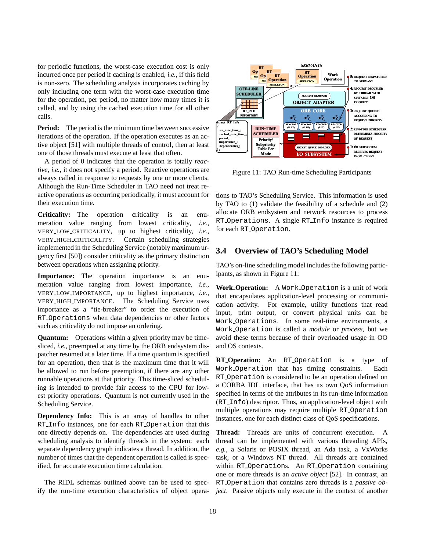for periodic functions, the worst-case execution cost is only incurred once per period if caching is enabled, *i.e.*, if this field is non-zero. The scheduling analysis incorporates caching by only including one term with the worst-case execution time for the operation, per period, no matter how many times it is called, and by using the cached execution time for all other calls.

**Period:** The period is the minimum time between successive iterations of the operation. If the operation executes as an active object [51] with multiple threads of control, then at least one of those threads must execute at least that often.

A period of 0 indicates that the operation is totally *reactive*, *i.e.*, it does not specify a period. Reactive operations are always called in response to requests by one or more clients. Although the Run-Time Scheduler in TAO need not treat reactive operations as occurring periodically, it must account for their execution time.

**Criticality:** The operation criticality is an enumeration value ranging from lowest criticality, *i.e.*, VERY LOW CRITICALITY, up to highest criticality, *i.e.*, VERY HIGH CRITICALITY. Certain scheduling strategies implemented in the Scheduling Service (notably maximum urgency first [50]) consider criticality as the primary distinction between operations when assigning priority.

**Importance:** The operation importance is an enumeration value ranging from lowest importance, *i.e.*, VERY LOW IMPORTANCE, up to highest importance, *i.e.*, VERY HIGH IMPORTANCE. The Scheduling Service uses importance as a "tie-breaker" to order the execution of RT Operations when data dependencies or other factors such as criticality do not impose an ordering.

**Quantum:** Operations within a given priority may be timesliced, *i.e.*, preempted at any time by the ORB endsystem dispatcher resumed at a later time. If a time quantum is specified for an operation, then that is the maximum time that it will be allowed to run before preemption, if there are any other runnable operations at that priority. This time-sliced scheduling is intended to provide fair access to the CPU for lowest priority operations. Quantum is not currently used in the Scheduling Service.

**Dependency Info:** This is an array of handles to other RT Info instances, one for each RT Operation that this one directly depends on. The dependencies are used during scheduling analysis to identify threads in the system: each separate dependency graph indicates a thread. In addition, the number of times that the dependent operation is called is specified, for accurate execution time calculation.

The RIDL schemas outlined above can be used to specify the run-time execution characteristics of object opera-



Figure 11: TAO Run-time Scheduling Participants

tions to TAO's Scheduling Service. This information is used by TAO to (1) validate the feasibility of a schedule and (2) allocate ORB endsystem and network resources to process RT Operations. A single RT Info instance is required for each RT Operation.

# **3.4 Overview of TAO's Scheduling Model**

TAO's on-line scheduling model includes the following participants, as shown in Figure 11:

**Work Operation:** A Work Operation is a unit of work that encapsulates application-level processing or communication activity. For example, utility functions that read input, print output, or convert physical units can be Work Operations. In some real-time environments, a Work Operation is called a *module* or *process*, but we avoid these terms because of their overloaded usage in OO and OS contexts.

**RT Operation:** An RT Operation is a type of Work Operation that has timing constraints. Each RT Operation is considered to be an operation defined on a CORBA IDL interface, that has its own QoS information specified in terms of the attributes in its run-time information (RT Info) descriptor. Thus, an application-level object with multiple operations may require multiple RT Operation instances, one for each distinct class of QoS specifications.

**Thread:** Threads are units of concurrent execution. A thread can be implemented with various threading APIs, *e.g.*, a Solaris or POSIX thread, an Ada task, a VxWorks task, or a Windows NT thread. All threads are contained within RT Operations. An RT Operation containing one or more threads is an *active object* [52]. In contrast, an RT Operation that contains zero threads is a *passive object*. Passive objects only execute in the context of another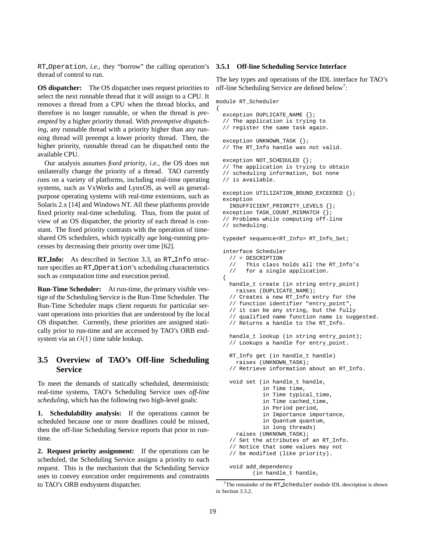RT Operation, *i.e.*, they "borrow" the calling operation's **3.5.1 Off-line Scheduling Service Interface** thread of control to run.

**OS dispatcher:** The OS dispatcher uses request priorities to select the next runnable thread that it will assign to a CPU. It removes a thread from a CPU when the thread blocks, and therefore is no longer runnable, or when the thread is *preempted* by a higher priority thread. With *preemptive dispatching*, any runnable thread with a priority higher than any running thread will preempt a lower priority thread. Then, the higher priority, runnable thread can be dispatched onto the available CPU.

Our analysis assumes *fixed priority*, *i.e.*, the OS does not unilaterally change the priority of a thread. TAO currently runs on a variety of platforms, including real-time operating systems, such as VxWorks and LynxOS, as well as generalpurpose operating systems with real-time extensions, such as Solaris 2.x [14] and Windows NT. All these platforms provide fixed priority real-time scheduling. Thus, from the point of view of an OS dispatcher, the priority of each thread is constant. The fixed priority contrasts with the operation of timeshared OS schedulers, which typically *age* long-running processes by decreasing their priority over time [62].

**RT Info:** As described in Section 3.3, an RT Info structure specifies an RT Operation's scheduling characteristics such as computation time and execution period.

**Run-Time Scheduler:** At run-time, the primary visible vestige of the Scheduling Service is the Run-Time Scheduler. The Run-Time Scheduler maps client requests for particular servant operations into priorities that are understood by the local OS dispatcher. Currently, these priorities are assigned statically prior to run-time and are accessed by TAO's ORB endsystem via an  $O(1)$  time table lookup.

# **3.5 Overview of TAO's Off-line Scheduling Service**

To meet the demands of statically scheduled, deterministic real-time systems, TAO's Scheduling Service uses *off-line scheduling*, which has the following two high-level goals:

**1. Schedulability analysis:** If the operations cannot be scheduled because one or more deadlines could be missed, then the off-line Scheduling Service reports that prior to runtime.

**2. Request priority assignment:** If the operations can be scheduled, the Scheduling Service assigns a priority to each request. This is the mechanism that the Scheduling Service uses to convey execution order requirements and constraints to TAO's ORB endsystem dispatcher.

The key types and operations of the IDL interface for TAO's off-line Scheduling Service are defined below7:

```
module RT_Scheduler
{
  exception DUPLICATE_NAME {};
  // The application is trying to
  // register the same task again.
  exception UNKNOWN_TASK {};
  // The RT_Info handle was not valid.
  exception NOT_SCHEDULED {};
  // The application is trying to obtain
  // scheduling information, but none
  // is available.
  exception UTILIZATION_BOUND_EXCEEDED {};
  exception
    INSUFFICIENT_PRIORITY_LEVELS {};
  exception TASK_COUNT_MISMATCH {};
  // Problems while computing off-line
  // scheduling.
  typedef sequence<RT_Info> RT_Info_Set;
  interface Scheduler
    // = DESCRIPTION
    // This class holds all the RT_Info's
    // for a single application.
  {
    handle_t create (in string entry_point)
     raises (DUPLICATE_NAME);
    // Creates a new RT_Info entry for the
    // function identifier "entry_point",
    // it can be any string, but the fully
    // qualified name function name is suggested.
    // Returns a handle to the RT_Info.
    handle_t lookup (in string entry_point);
    // Lookups a handle for entry_point.
    RT_Info get (in handle_t handle)
      raises (UNKNOWN_TASK);
    // Retrieve information about an RT_Info.
    void set (in handle t handle,
              in Time time,
              in Time typical_time,
              in Time cached_time,
              in Period period,
              in Importance importance,
              in Quantum quantum,
              in long threads)
     raises (UNKNOWN_TASK);
    // Set the attributes of an RT_Info.
    // Notice that some values may not
    // be modified (like priority).
    void add_dependency
           (in handle_t handle,
```
 $7$ The remainder of the RT\_Scheduler module IDL description is shown in Section 3.3.2.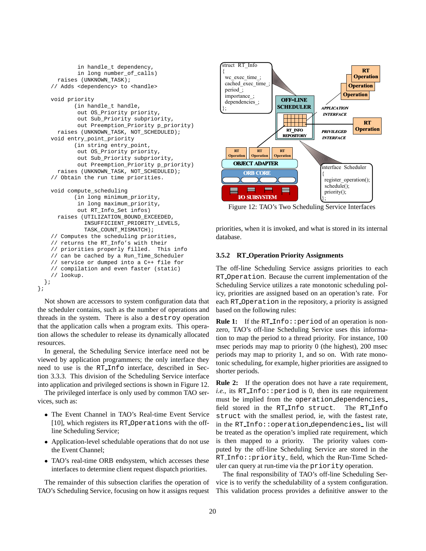```
in handle_t dependency,
          in long number_of_calls)
    raises (UNKNOWN_TASK);
  // Adds <dependency> to <handle>
  void priority
         (in handle_t handle,
          out OS_Priority priority,
          out Sub_Priority subpriority,
          out Preemption_Priority p_priority)
    raises (UNKNOWN_TASK, NOT_SCHEDULED);
  void entry_point_priority
         (in string entry_point,
          out OS_Priority priority,
          out Sub_Priority subpriority,
          out Preemption_Priority p_priority)
    raises (UNKNOWN_TASK, NOT_SCHEDULED);
  // Obtain the run time priorities.
  void compute_scheduling
         (in long minimum_priority,
          in long maximum_priority,
          out RT_Info_Set infos)
    raises (UTILIZATION_BOUND_EXCEEDED,
            INSUFFICIENT_PRIORITY_LEVELS,
            TASK_COUNT_MISMATCH);
  // Computes the scheduling priorities,
  // returns the RT_Info's with their
  // priorities properly filled. This info
  // can be cached by a Run_Time_Scheduler
  // service or dumped into a C++ file for
  // compilation and even faster (static)
  // lookup.
};
```
Not shown are accessors to system configuration data that the scheduler contains, such as the number of operations and threads in the system. There is also a destroy operation that the application calls when a program exits. This operation allows the scheduler to release its dynamically allocated resources.

};

In general, the Scheduling Service interface need not be viewed by application programmers; the only interface they need to use is the RT Info interface, described in Section 3.3.3. This division of the Scheduling Service interface into application and privileged sections is shown in Figure 12.

The privileged interface is only used by common TAO services, such as:

- The Event Channel in TAO's Real-time Event Service [10], which registers its RT Operations with the offline Scheduling Service;
- Application-level schedulable operations that do not use the Event Channel;
- TAO's real-time ORB endsystem, which accesses these interfaces to determine client request dispatch priorities.

The remainder of this subsection clarifies the operation of TAO's Scheduling Service, focusing on how it assigns request



Figure 12: TAO's Two Scheduling Service Interfaces

priorities, when it is invoked, and what is stored in its internal database.

#### **3.5.2 RT Operation Priority Assignments**

The off-line Scheduling Service assigns priorities to each RT Operation. Because the current implementation of the Scheduling Service utilizes a rate monotonic scheduling policy, priorities are assigned based on an operation's rate. For each RT Operation in the repository, a priority is assigned based on the following rules:

**Rule 1:** If the RT\_Info::period of an operation is nonzero, TAO's off-line Scheduling Service uses this information to map the period to a thread priority. For instance, 100 msec periods may map to priority 0 (the highest), 200 msec periods may map to priority 1, and so on. With rate monotonic scheduling, for example, higher priorities are assigned to shorter periods.

**Rule 2:** If the operation does not have a rate requirement, *i.e.*, its RT\_Info:: period is 0, then its rate requirement must be implied from the operation dependencies field stored in the RT Info struct. The RT Info struct with the smallest period, ie, with the fastest rate, in the RT Info::operation dependencies list will be treated as the operation's implied rate requirement, which is then mapped to a priority. The priority values computed by the off-line Scheduling Service are stored in the RT Info::priority field, which the Run-Time Scheduler can query at run-time via the priority operation.

The final responsibility of TAO's off-line Scheduling Service is to verify the schedulability of a system configuration. This validation process provides a definitive answer to the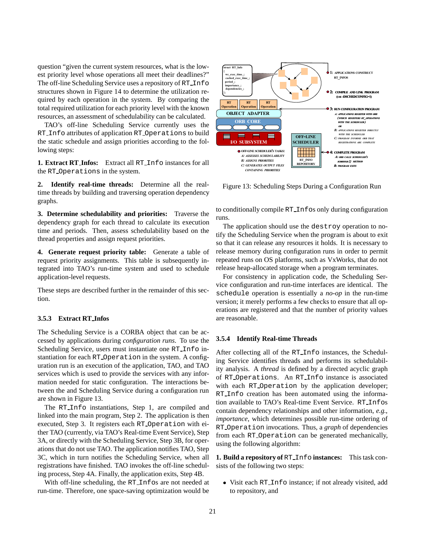question "given the current system resources, what is the lowest priority level whose operations all meet their deadlines?" The off-line Scheduling Service uses a repository of RT\_Info structures shown in Figure 14 to determine the utilization required by each operation in the system. By comparing the total required utilization for each priority level with the known resources, an assessment of schedulability can be calculated.

TAO's off-line Scheduling Service currently uses the RT Info attributes of application RT Operations to build the static schedule and assign priorities according to the following steps:

**1. Extract RT Infos:** Extract all RT Info instances for all the RT Operations in the system.

**2. Identify real-time threads:** Determine all the realtime threads by building and traversing operation dependency graphs.

**3. Determine schedulability and priorities:** Traverse the dependency graph for each thread to calculate its execution time and periods. Then, assess schedulability based on the thread properties and assign request priorities.

**4. Generate request priority table:** Generate a table of request priority assignments. This table is subsequently integrated into TAO's run-time system and used to schedule application-level requests.

These steps are described further in the remainder of this section.

#### **3.5.3 Extract RT Infos**

The Scheduling Service is a CORBA object that can be accessed by applications during *configuration runs*. To use the Scheduling Service, users must instantiate one RT Info instantiation for each RT Operation in the system. A configuration run is an execution of the application, TAO, and TAO services which is used to provide the services with any information needed for static configuration. The interactions between the and Scheduling Service during a configuration run are shown in Figure 13.

The RT Info instantiations, Step 1, are compiled and linked into the main program, Step 2. The application is then executed, Step 3. It registers each RT Operation with either TAO (currently, via TAO's Real-time Event Service), Step 3A, or directly with the Scheduling Service, Step 3B, for operations that do not use TAO. The application notifies TAO, Step 3C, which in turn notifies the Scheduling Service, when all registrations have finished. TAO invokes the off-line scheduling process, Step 4A. Finally, the application exits, Step 4B.

With off-line scheduling, the RT Infos are not needed at run-time. Therefore, one space-saving optimization would be



Figure 13: Scheduling Steps During a Configuration Run

to conditionally compile RT Infos only during configuration runs.

The application should use the destroy operation to notify the Scheduling Service when the program is about to exit so that it can release any resources it holds. It is necessary to release memory during configuration runs in order to permit repeated runs on OS platforms, such as VxWorks, that do not release heap-allocated storage when a program terminates.

For consistency in application code, the Scheduling Service configuration and run-time interfaces are identical. The schedule operation is essentially a *no-op* in the run-time version; it merely performs a few checks to ensure that all operations are registered and that the number of priority values are reasonable.

#### **3.5.4 Identify Real-time Threads**

After collecting all of the RT Info instances, the Scheduling Service identifies threads and performs its schedulability analysis. A *thread* is defined by a directed acyclic graph of RT Operations. An RT Info instance is associated with each RT Operation by the application developer; RT Info creation has been automated using the information available to TAO's Real-time Event Service. RT\_Infos contain dependency relationships and other information, *e.g.*, *importance*, which determines possible run-time ordering of RT Operation invocations. Thus, a *graph* of dependencies from each RT Operation can be generated mechanically, using the following algorithm:

**1. Build a repository of** RT Info **instances:** This task consists of the following two steps:

 Visit each RT Info instance; if not already visited, add to repository, and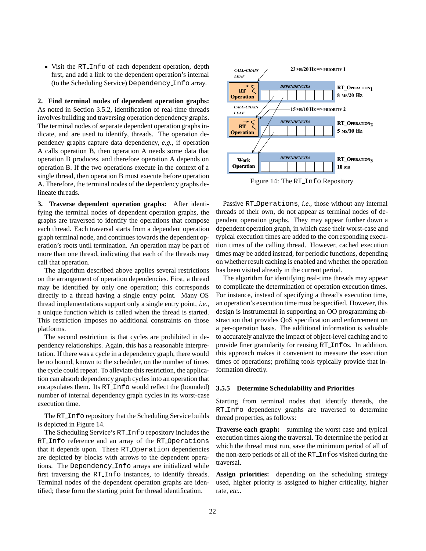Visit the RT Info of each dependent operation, depth first, and add a link to the dependent operation's internal (to the Scheduling Service) Dependency Info array.

**2. Find terminal nodes of dependent operation graphs:** As noted in Section 3.5.2, identification of real-time threads involves building and traversing operation dependency graphs. The terminal nodes of separate dependent operation graphs indicate, and are used to identify, threads. The operation dependency graphs capture data dependency, *e.g.*, if operation A calls operation B, then operation A needs some data that operation B produces, and therefore operation A depends on operation B. If the two operations execute in the context of a single thread, then operation B must execute before operation A. Therefore, the terminal nodes of the dependency graphs delineate threads.

**3. Traverse dependent operation graphs:** After identifying the terminal nodes of dependent operation graphs, the graphs are traversed to identify the operations that compose each thread. Each traversal starts from a dependent operation graph terminal node, and continues towards the dependent operation's roots until termination. An operation may be part of more than one thread, indicating that each of the threads may call that operation.

The algorithm described above applies several restrictions on the arrangement of operation dependencies. First, a thread may be identified by only one operation; this corresponds directly to a thread having a single entry point. Many OS thread implementations support only a single entry point, *i.e.*, a unique function which is called when the thread is started. This restriction imposes no additional constraints on those platforms.

The second restriction is that cycles are prohibited in dependency relationships. Again, this has a reasonable interpretation. If there was a cycle in a dependency graph, there would be no bound, known to the scheduler, on the number of times the cycle could repeat. To alleviate this restriction, the application can absorb dependency graph cycles into an operation that encapsulates them. Its RT Info would reflect the (bounded) number of internal dependency graph cycles in its worst-case execution time.

The RT Info repository that the Scheduling Service builds is depicted in Figure 14.

The Scheduling Service's RT Info repository includes the RT Info reference and an array of the RT Operations that it depends upon. These RT Operation dependencies are depicted by blocks with arrows to the dependent operations. The Dependency Info arrays are initialized while first traversing the RT Info instances, to identify threads. Terminal nodes of the dependent operation graphs are identified; these form the starting point for thread identification.



Figure 14: The RT Info Repository

Passive RT Operations, *i.e.*, those without any internal threads of their own, do not appear as terminal nodes of dependent operation graphs. They may appear further down a dependent operation graph, in which case their worst-case and typical execution times are added to the corresponding execution times of the calling thread. However, cached execution times may be added instead, for periodic functions, depending on whether result caching is enabled and whether the operation has been visited already in the current period.

The algorithm for identifying real-time threads may appear to complicate the determination of operation execution times. For instance, instead of specifying a thread's execution time, an operation's execution time must be specified. However, this design is instrumental in supporting an OO programming abstraction that provides QoS specification and enforcement on a per-operation basis. The additional information is valuable to accurately analyze the impact of object-level caching and to provide finer granularity for reusing RT Infos. In addition, this approach makes it convenient to measure the execution times of operations; profiling tools typically provide that information directly.

#### **3.5.5 Determine Schedulability and Priorities**

Starting from terminal nodes that identify threads, the RT Info dependency graphs are traversed to determine thread properties, as follows:

**Traverse each graph:** summing the worst case and typical execution times along the traversal. To determine the period at which the thread must run, save the minimum period of all of the non-zero periods of all of the RT Infos visited during the traversal.

**Assign priorities:** depending on the scheduling strategy used, higher priority is assigned to higher criticality, higher rate, *etc.*.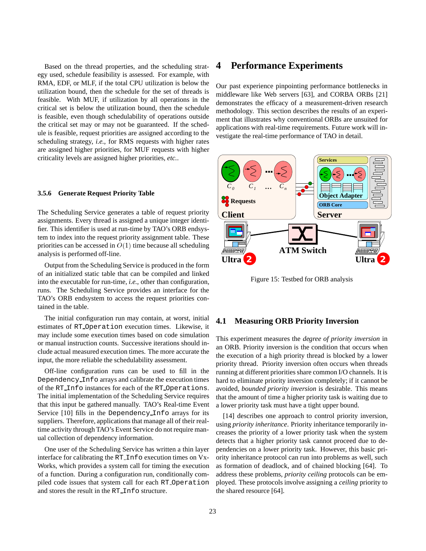Based on the thread properties, and the scheduling strategy used, schedule feasibility is assessed. For example, with RMA, EDF, or MLF, if the total CPU utilization is below the utilization bound, then the schedule for the set of threads is feasible. With MUF, if utilization by all operations in the critical set is below the utilization bound, then the schedule is feasible, even though schedulability of operations outside the critical set may or may not be guaranteed. If the schedule is feasible, request priorities are assigned according to the scheduling strategy, *i.e.*, for RMS requests with higher rates are assigned higher priorities, for MUF requests with higher criticality levels are assigned higher priorities, *etc.*.

#### **3.5.6 Generate Request Priority Table**

The Scheduling Service generates a table of request priority assignments. Every thread is assigned a unique integer identifier. This identifier is used at run-time by TAO's ORB endsystem to index into the request priority assignment table. These priorities can be accessed in  $O(1)$  time because all scheduling analysis is performed off-line.

Output from the Scheduling Service is produced in the form of an initialized static table that can be compiled and linked into the executable for run-time, *i.e.*, other than configuration, runs. The Scheduling Service provides an interface for the TAO's ORB endsystem to access the request priorities contained in the table.

The initial configuration run may contain, at worst, initial estimates of RT Operation execution times. Likewise, it may include some execution times based on code simulation or manual instruction counts. Successive iterations should include actual measured execution times. The more accurate the input, the more reliable the schedulability assessment.

Off-line configuration runs can be used to fill in the Dependency Info arrays and calibrate the execution times of the RT Info instances for each of the RT Operations. The initial implementation of the Scheduling Service requires that this input be gathered manually. TAO's Real-time Event Service [10] fills in the Dependency Info arrays for its suppliers. Therefore, applications that manage all of their realtime activity through TAO's Event Service do not require manual collection of dependency information.

One user of the Scheduling Service has written a thin layer interface for calibrating the RT Info execution times on Vx-Works, which provides a system call for timing the execution of a function. During a configuration run, conditionally compiled code issues that system call for each RT Operation and stores the result in the RT Info structure.

# **4 Performance Experiments**

Our past experience pinpointing performance bottlenecks in middleware like Web servers [63], and CORBA ORBs [21] demonstrates the efficacy of a measurement-driven research methodology. This section describes the results of an experiment that illustrates why conventional ORBs are unsuited for applications with real-time requirements. Future work will investigate the real-time performance of TAO in detail.



Figure 15: Testbed for ORB analysis

#### **4.1 Measuring ORB Priority Inversion**

This experiment measures the *degree of priority inversion* in an ORB. Priority inversion is the condition that occurs when the execution of a high priority thread is blocked by a lower priority thread. Priority inversion often occurs when threads running at different priorities share common I/O channels. It is hard to eliminate priority inversion completely; if it cannot be avoided, *bounded priority inversion* is desirable. This means that the amount of time a higher priority task is waiting due to a lower priority task must have a tight upper bound.

[14] describes one approach to control priority inversion, using *priority inheritance*. Priority inheritance temporarily increases the priority of a lower priority task when the system detects that a higher priority task cannot proceed due to dependencies on a lower priority task. However, this basic priority inheritance protocol can run into problems as well, such as formation of deadlock, and of chained blocking [64]. To address these problems, *priority ceiling* protocols can be employed. These protocols involve assigning a *ceiling* priority to the shared resource [64].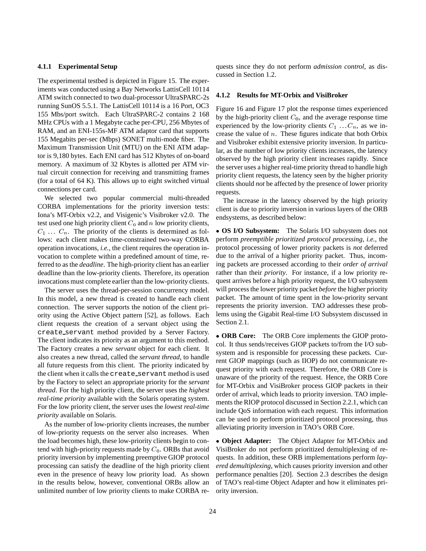#### **4.1.1 Experimental Setup**

The experimental testbed is depicted in Figure 15. The experiments was conducted using a Bay Networks LattisCell 10114 ATM switch connected to two dual-processor UltraSPARC-2s running SunOS 5.5.1. The LattisCell 10114 is a 16 Port, OC3 155 Mbs/port switch. Each UltraSPARC-2 contains 2 168 MHz CPUs with a 1 Megabyte cache per-CPU, 256 Mbytes of RAM, and an ENI-155s-MF ATM adaptor card that supports 155 Megabits per-sec (Mbps) SONET multi-mode fiber. The Maximum Transmission Unit (MTU) on the ENI ATM adaptor is 9,180 bytes. Each ENI card has 512 Kbytes of on-board memory. A maximum of 32 Kbytes is allotted per ATM virtual circuit connection for receiving and transmitting frames (for a total of 64 K). This allows up to eight switched virtual connections per card.

We selected two popular commercial multi-threaded CORBA implementations for the priority inversion tests: Iona's MT-Orbix v2.2, and Visigenic's Visibroker v2.0. The test used one high priority client  $C_0$  and n low priority clients,  $C_1 \ldots C_n$ . The priority of the clients is determined as follows: each client makes time-constrained two-way CORBA operation invocations, *i.e.*, the client requires the operation invocation to complete within a predefined amount of time, referred to as the *deadline*. The high-priority client has an earlier deadline than the low-priority clients. Therefore, its operation invocations must complete earlier than the low-priority clients.

The server uses the thread-per-session concurrency model. In this model, a new thread is created to handle each client connection. The server supports the notion of the client priority using the Active Object pattern [52], as follows. Each client requests the creation of a servant object using the create servant method provided by a Server Factory. The client indicates its priority as an argument to this method. The Factory creates a new *servant* object for each client. It also creates a new thread, called the *servant thread*, to handle all future requests from this client. The priority indicated by the client when it calls the create servant method is used by the Factory to select an appropriate priority for the *servant thread*. For the high priority client, the server uses the *highest real-time priority* available with the Solaris operating system. For the low priority client, the server uses the *lowest real-time priority* available on Solaris.

As the number of low-priority clients increases, the number of low-priority requests on the server also increases. When the load becomes high, these low-priority clients begin to contend with high-priority requests made by  $C_0$ . ORBs that avoid priority inversion by implementing preemptive GIOP protocol processing can satisfy the deadline of the high priority client even in the presence of heavy low priority load. As shown in the results below, however, conventional ORBs allow an unlimited number of low priority clients to make CORBA requests since they do not perform *admission control*, as discussed in Section 1.2.

#### **4.1.2 Results for MT-Orbix and VisiBroker**

Figure 16 and Figure 17 plot the response times experienced by the high-priority client  $C_0$ , and the average response time experienced by the low-priority clients  $C_1 \ldots C_n$ , as we increase the value of  $n$ . These figures indicate that both Orbix and Visibroker exhibit extensive priority inversion. In particular, as the number of low priority clients increases, the latency observed by the high priority client increases rapidly. Since the server uses a higher real-time priority thread to handle high priority client requests, the latency seen by the higher priority clients should *not* be affected by the presence of lower priority requests.

The increase in the latency observed by the high priority client is due to priority inversion in various layers of the ORB endsystems, as described below:

 **OS I/O Subsystem:** The Solaris I/O subsystem does not perform *preemptible prioritized protocol processing*, *i.e.*, the protocol processing of lower priority packets is *not* deferred due to the arrival of a higher priority packet. Thus, incoming packets are processed according to their *order of arrival* rather than their *priority*. For instance, if a low priority request arrives before a high priority request, the I/O subsystem will process the lower priority packet *before* the higher priority packet. The amount of time spent in the low-priority servant represents the priority inversion. TAO addresses these problems using the Gigabit Real-time I/O Subsystem discussed in Section 2.1.

 **ORB Core:** The ORB Core implements the GIOP protocol. It thus sends/receives GIOP packets to/from the I/O subsystem and is responsible for processing these packets. Current GIOP mappings (such as IIOP) do not communicate request priority with each request. Therefore, the ORB Core is unaware of the priority of the request. Hence, the ORB Core for MT-Orbix and VisiBroker process GIOP packets in their order of arrival, which leads to priority inversion. TAO implements the RIOP protocol discussed in Section 2.2.1, which can include QoS information with each request. This information can be used to perform prioritized protocol processing, thus alleviating priority inversion in TAO's ORB Core.

 **Object Adapter:** The Object Adapter for MT-Orbix and VisiBroker do not perform prioritized demultiplexing of requests. In addition, these ORB implementations perform *layered demultiplexing*, which causes priority inversion and other performance penalties [20]. Section 2.3 describes the design of TAO's real-time Object Adapter and how it eliminates priority inversion.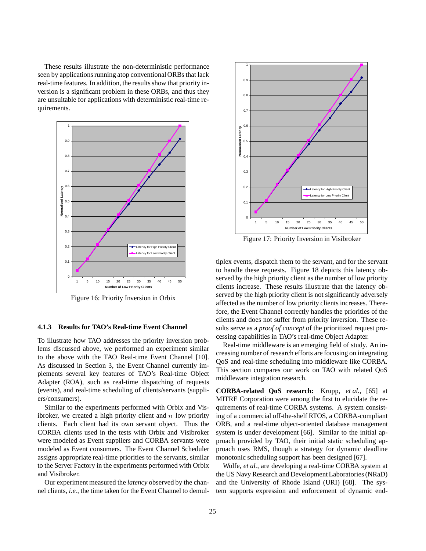These results illustrate the non-deterministic performance seen by applications running atop conventional ORBs that lack real-time features. In addition, the results show that priority inversion is a significant problem in these ORBs, and thus they are unsuitable for applications with deterministic real-time requirements.



Figure 16: Priority Inversion in Orbix

#### **4.1.3 Results for TAO's Real-time Event Channel**

To illustrate how TAO addresses the priority inversion problems discussed above, we performed an experiment similar to the above with the TAO Real-time Event Channel [10]. As discussed in Section 3, the Event Channel currently implements several key features of TAO's Real-time Object Adapter (ROA), such as real-time dispatching of requests (events), and real-time scheduling of clients/servants (suppliers/consumers).

Similar to the experiments performed with Orbix and Visibroker, we created a high priority client and  $n$  low priority clients. Each client had its own servant object. Thus the CORBA clients used in the tests with Orbix and Visibroker were modeled as Event suppliers and CORBA servants were modeled as Event consumers. The Event Channel Scheduler assigns appropriate real-time priorities to the servants, similar to the Server Factory in the experiments performed with Orbix and Visibroker.

Our experiment measured the *latency* observed by the channel clients, *i.e.*, the time taken for the Event Channel to demul-



Figure 17: Priority Inversion in Visibroker

tiplex events, dispatch them to the servant, and for the servant to handle these requests. Figure 18 depicts this latency observed by the high priority client as the number of low priority clients increase. These results illustrate that the latency observed by the high priority client is not significantly adversely affected as the number of low priority clients increases. Therefore, the Event Channel correctly handles the priorities of the clients and does not suffer from priority inversion. These results serve as a *proof of concept* of the prioritized request processing capabilities in TAO's real-time Object Adapter.

Real-time middleware is an emerging field of study. An increasing number of research efforts are focusing on integrating QoS and real-time scheduling into middleware like CORBA. This section compares our work on TAO with related QoS middleware integration research.

**CORBA-related QoS research:** Krupp, *et al.*, [65] at MITRE Corporation were among the first to elucidate the requirements of real-time CORBA systems. A system consisting of a commercial off-the-shelf RTOS, a CORBA-compliant ORB, and a real-time object-oriented database management system is under development [66]. Similar to the initial approach provided by TAO, their initial static scheduling approach uses RMS, though a strategy for dynamic deadline monotonic scheduling support has been designed [67].

Wolfe, *et al.*, are developing a real-time CORBA system at the US Navy Research and Development Laboratories (NRaD) and the University of Rhode Island (URI) [68]. The system supports expression and enforcement of dynamic end-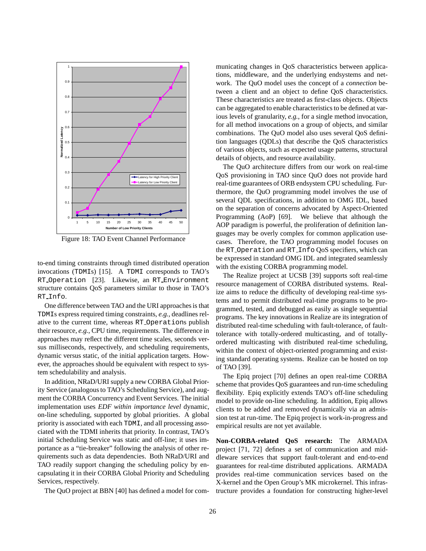

Figure 18: TAO Event Channel Performance

to-end timing constraints through timed distributed operation invocations (TDMIs) [15]. A TDMI corresponds to TAO's RT Operation [23]. Likewise, an RT Environment structure contains QoS parameters similar to those in TAO's RT Info.

One difference between TAO and the URI approaches is that TDMIs express required timing constraints, *e.g.*, deadlines relative to the current time, whereas RT Operations publish their resource, *e.g.*, CPU time, requirements. The difference in approaches may reflect the different time scales, seconds versus milliseconds, respectively, and scheduling requirements, dynamic versus static, of the initial application targets. However, the approaches should be equivalent with respect to system schedulability and analysis.

In addition, NRaD/URI supply a new CORBA Global Priority Service (analogous to TAO's Scheduling Service), and augment the CORBA Concurrency and Event Services. The initial implementation uses *EDF within importance level* dynamic, on-line scheduling, supported by global priorities. A global priority is associated with each TDMI, and all processing associated with the TDMI inherits that priority. In contrast, TAO's initial Scheduling Service was static and off-line; it uses importance as a "tie-breaker" following the analysis of other requirements such as data dependencies. Both NRaD/URI and TAO readily support changing the scheduling policy by encapsulating it in their CORBA Global Priority and Scheduling Services, respectively.

The QuO project at BBN [40] has defined a model for com-

municating changes in QoS characteristics between applications, middleware, and the underlying endsystems and network. The QuO model uses the concept of a *connection* between a client and an object to define QoS characteristics. These characteristics are treated as first-class objects. Objects can be aggregated to enable characteristics to be defined at various levels of granularity, *e.g.*, for a single method invocation, for all method invocations on a group of objects, and similar combinations. The QuO model also uses several QoS definition languages (QDLs) that describe the QoS characteristics of various objects, such as expected usage patterns, structural details of objects, and resource availability.

The QuO architecture differs from our work on real-time QoS provisioning in TAO since QuO does not provide hard real-time guarantees of ORB endsystem CPU scheduling. Furthermore, the QuO programming model involves the use of several QDL specifications, in addition to OMG IDL, based on the separation of concerns advocated by Aspect-Oriented Programming (AoP) [69]. We believe that although the AOP paradigm is powerful, the proliferation of definition languages may be overly complex for common application usecases. Therefore, the TAO programming model focuses on the RT Operation and RT Info QoS specifiers, which can be expressed in standard OMG IDL and integrated seamlessly with the existing CORBA programming model.

The Realize project at UCSB [39] supports soft real-time resource management of CORBA distributed systems. Realize aims to reduce the difficulty of developing real-time systems and to permit distributed real-time programs to be programmed, tested, and debugged as easily as single sequential programs. The key innovations in Realize are its integration of distributed real-time scheduling with fault-tolerance, of faulttolerance with totally-ordered multicasting, and of totallyordered multicasting with distributed real-time scheduling, within the context of object-oriented programming and existing standard operating systems. Realize can be hosted on top of TAO [39].

The Epiq project [70] defines an open real-time CORBA scheme that provides QoS guarantees and run-time scheduling flexibility. Epiq explicitly extends TAO's off-line scheduling model to provide on-line scheduling. In addition, Epiq allows clients to be added and removed dynamically via an admission test at run-time. The Epiq project is work-in-progress and empirical results are not yet available.

**Non-CORBA-related QoS research:** The ARMADA project [71, 72] defines a set of communication and middleware services that support fault-tolerant and end-to-end guarantees for real-time distributed applications. ARMADA provides real-time communication services based on the X-kernel and the Open Group's MK microkernel. This infrastructure provides a foundation for constructing higher-level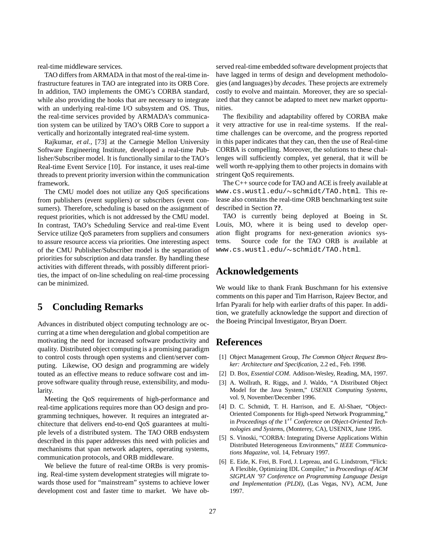real-time middleware services.

TAO differs from ARMADA in that most of the real-time infrastructure features in TAO are integrated into its ORB Core. In addition, TAO implements the OMG's CORBA standard, while also providing the hooks that are necessary to integrate with an underlying real-time I/O subsystem and OS. Thus, the real-time services provided by ARMADA's communication system can be utilized by TAO's ORB Core to support a vertically and horizontally integrated real-time system.

Rajkumar, *et al.*, [73] at the Carnegie Mellon University Software Engineering Institute, developed a real-time Publisher/Subscriber model. It is functionally similar to the TAO's Real-time Event Service [10]. For instance, it uses real-time threads to prevent priority inversion within the communication framework.

The CMU model does not utilize any QoS specifications from publishers (event suppliers) or subscribers (event consumers). Therefore, scheduling is based on the assignment of request priorities, which is not addressed by the CMU model. In contrast, TAO's Scheduling Service and real-time Event Service utilize QoS parameters from suppliers and consumers to assure resource access via priorities. One interesting aspect of the CMU Publisher/Subscriber model is the separation of priorities for subscription and data transfer. By handling these activities with different threads, with possibly different priorities, the impact of on-line scheduling on real-time processing can be minimized.

# **5 Concluding Remarks**

Advances in distributed object computing technology are occurring at a time when deregulation and global competition are motivating the need for increased software productivity and quality. Distributed object computing is a promising paradigm to control costs through open systems and client/server computing. Likewise, OO design and programming are widely touted as an effective means to reduce software cost and improve software quality through reuse, extensibility, and modularity.

Meeting the QoS requirements of high-performance and real-time applications requires more than OO design and programming techniques, however. It requires an integrated architecture that delivers end-to-end QoS guarantees at multiple levels of a distributed system. The TAO ORB endsystem described in this paper addresses this need with policies and mechanisms that span network adapters, operating systems, communication protocols, and ORB middleware.

We believe the future of real-time ORBs is very promising. Real-time system development strategies will migrate towards those used for "mainstream" systems to achieve lower development cost and faster time to market. We have observed real-time embedded software development projects that have lagged in terms of design and development methodologies (and languages) by *decades*. These projects are extremely costly to evolve and maintain. Moreover, they are so specialized that they cannot be adapted to meet new market opportunities.

The flexibility and adaptability offered by CORBA make it very attractive for use in real-time systems. If the realtime challenges can be overcome, and the progress reported in this paper indicates that they can, then the use of Real-time CORBA is compelling. Moreover, the solutions to these challenges will sufficiently complex, yet general, that it will be well worth re-applying them to other projects in domains with stringent QoS requirements.

The C++ source code for TAO and ACE is freely available at www.cs.wustl.edu/~schmidt/TAO.html. This release also contains the real-time ORB benchmarking test suite described in Section **??**.

TAO is currently being deployed at Boeing in St. Louis, MO, where it is being used to develop operation flight programs for next-generation avionics systems. Source code for the TAO ORB is available at www.cs.wustl.edu/~schmidt/TAO.html.

# **Acknowledgements**

We would like to thank Frank Buschmann for his extensive comments on this paper and Tim Harrison, Rajeev Bector, and Irfan Pyarali for help with earlier drafts of this paper. In addition, we gratefully acknowledge the support and direction of the Boeing Principal Investigator, Bryan Doerr.

# **References**

- [1] Object Management Group, *The Common Object Request Broker: Architecture and Specification*, 2.2 ed., Feb. 1998.
- [2] D. Box, *Essential COM*. Addison-Wesley, Reading, MA, 1997.
- [3] A. Wollrath, R. Riggs, and J. Waldo, "A Distributed Object Model for the Java System," *USENIX Computing Systems*, vol. 9, November/December 1996.
- [4] D. C. Schmidt, T. H. Harrison, and E. Al-Shaer, "Object-Oriented Components for High-speed Network Programming," in *Proceedings of the*  $1^{st}$  *Conference on Object-Oriented Technologies and Systems*, (Monterey, CA), USENIX, June 1995.
- [5] S. Vinoski, "CORBA: Integrating Diverse Applications Within Distributed Heterogeneous Environments," *IEEE Communications Magazine*, vol. 14, February 1997.
- [6] E. Eide, K. Frei, B. Ford, J. Lepreau, and G. Lindstrom, "Flick: A Flexible, Optimizing IDL Compiler," in *Proceedings of ACM SIGPLAN '97 Conference on Programming Language Design and Implementation (PLDI)*, (Las Vegas, NV), ACM, June 1997.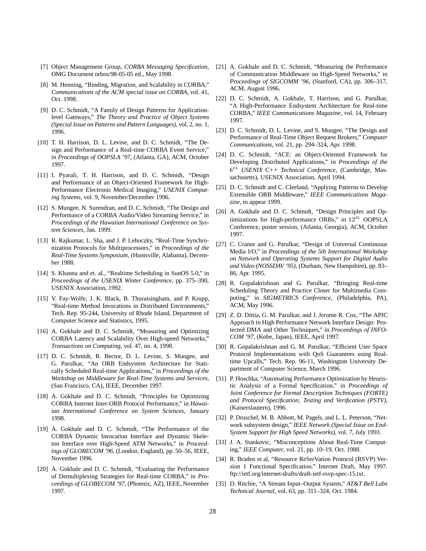- [7] Object Management Group, *CORBA Messaging Specification*, OMG Document orbos/98-05-05 ed., May 1998.
- [8] M. Henning, "Binding, Migration, and Scalability in CORBA," *Communications of the ACM special issue on CORBA*, vol. 41, Oct. 1998.
- [9] D. C. Schmidt, "A Family of Design Patterns for Applicationlevel Gateways," *The Theory and Practice of Object Systems (Special Issue on Patterns and Pattern Languages)*, vol. 2, no. 1, 1996.
- [10] T. H. Harrison, D. L. Levine, and D. C. Schmidt, "The Design and Performance of a Real-time CORBA Event Service," in *Proceedings of OOPSLA '97*, (Atlanta, GA), ACM, October 1997.
- [11] I. Pyarali, T. H. Harrison, and D. C. Schmidt, "Design and Performance of an Object-Oriented Framework for High-Performance Electronic Medical Imaging," *USENIX Computing Systems*, vol. 9, November/December 1996.
- [12] S. Mungee, N. Surendran, and D. C. Schmidt, "The Design and Performance of a CORBA Audio/Video Streaming Service," in *Proceedings of the Hawaiian International Conference on System Sciences*, Jan. 1999.
- [13] R. Rajkumar, L. Sha, and J. P. Lehoczky, "Real-Time Synchronization Protocols for Multiprocessors," in *Proceedings of the Real-Time Systems Symposium*, (Huntsville, Alabama), December 1988.
- [14] S. Khanna and et. al., "Realtime Scheduling in SunOS 5.0," in *Proceedings of the USENIX Winter Conference*, pp. 375–390, USENIX Association, 1992.
- [15] V. Fay-Wolfe, J. K. Black, B. Thuraisingham, and P. Krupp, "Real-time Method Invocations in Distributed Environments," Tech. Rep. 95-244, University of Rhode Island, Department of Computer Science and Statistics, 1995.
- [16] A. Gokhale and D. C. Schmidt, "Measuring and Optimizing CORBA Latency and Scalability Over High-speed Networks," *Transactions on Computing*, vol. 47, no. 4, 1998.
- [17] D. C. Schmidt, R. Bector, D. L. Levine, S. Mungee, and G. Parulkar, "An ORB Endsystem Architecture for Statically Scheduled Real-time Applications," in *Proceedings of the Workshop on Middleware for Real-Time Systems and Services*, (San Francisco, CA), IEEE, December 1997.
- [18] A. Gokhale and D. C. Schmidt, "Principles for Optimizing CORBA Internet Inter-ORB Protocol Performance," in *Hawaiian International Conference on System Sciences*, January 1998.
- [19] A. Gokhale and D. C. Schmidt, "The Performance of the CORBA Dynamic Invocation Interface and Dynamic Skeleton Interface over High-Speed ATM Networks," in *Proceedings of GLOBECOM '96*, (London, England), pp. 50–56, IEEE, November 1996.
- [20] A. Gokhale and D. C. Schmidt, "Evaluating the Performance of Demultiplexing Strategies for Real-time CORBA," in *Proceedings of GLOBECOM '97*, (Phoenix, AZ), IEEE, November 1997.
- [21] A. Gokhale and D. C. Schmidt, "Measuring the Performance of Communication Middleware on High-Speed Networks," in *Proceedings of SIGCOMM '96*, (Stanford, CA), pp. 306–317, ACM, August 1996.
- [22] D. C. Schmidt, A. Gokhale, T. Harrison, and G. Parulkar, "A High-Performance Endsystem Architecture for Real-time CORBA," *IEEE Communications Magazine*, vol. 14, February 1997.
- [23] D. C. Schmidt, D. L. Levine, and S. Mungee, "The Design and Performance of Real-Time Object Request Brokers," *Computer Communications*, vol. 21, pp. 294–324, Apr. 1998.
- [24] D. C. Schmidt, "ACE: an Object-Oriented Framework for Developing Distributed Applications," in *Proceedings of the* <sup>6</sup> th *USENIX C++ Technical Conference*, (Cambridge, Massachusetts), USENIX Association, April 1994.
- [25] D. C. Schmidt and C. Cleeland, "Applying Patterns to Develop Extensible ORB Middleware," *IEEE Communications Magazine*, to appear 1999.
- [26] A. Gokhale and D. C. Schmidt, "Design Principles and Optimizations for High-performance ORBs," in  $12^{th}$  OOPSLA Conference, poster session, (Atlanta, Georgia), ACM, October 1997.
- [27] C. Cranor and G. Parulkar, "Design of Universal Continuous Media I/O," in *Proceedings of the 5th International Workshop on Network and Operating Systems Support for Digital Audio and Video (NOSSDAV '95)*, (Durham, New Hampshire), pp. 83– 86, Apr. 1995.
- [28] R. Gopalakrishnan and G. Parulkar, "Bringing Real-time Scheduling Theory and Practice Closer for Multimedia Computing," in *SIGMETRICS Conference*, (Philadelphia, PA), ACM, May 1996.
- [29] Z. D. Dittia, G. M. Parulkar, and J. Jerome R. Cox, "The APIC Approach to High Performance Network Interface Design: Protected DMA and Other Techniques," in *Proceedings of INFO-COM '97*, (Kobe, Japan), IEEE, April 1997.
- [30] R. Gopalakrishnan and G. M. Parulkar, "Efficient User Space Protocol Implementations with QoS Guarantees using Realtime Upcalls," Tech. Rep. 96-11, Washington University Department of Computer Science, March 1996.
- [31] P. Hoschka, "Automating Performance Optimization by Heuristic Analysis of a Formal Specification," in *Proceedings of Joint Conference for Formal Description Techniques (FORTE) and Protocol Specification, Testing and Verification (PSTV)*, (Kaiserslautern), 1996.
- [32] P. Druschel, M. B. Abbott, M. Pagels, and L. L. Peterson, "Network subsystem design," *IEEE Network (Special Issue on End-System Support for High Speed Networks)*, vol. 7, July 1993.
- [33] J. A. Stankovic, "Misconceptions About Real-Time Computing," *IEEE Computer*, vol. 21, pp. 10–19, Oct. 1988.
- [34] R. Braden et al, "Resource ReSerVation Protocol (RSVP) Version 1 Functional Specification." Internet Draft, May 1997. ftp://ietf.org/internet-drafts/draft-ietf-rsvp-spec-15.txt.
- [35] D. Ritchie, "A Stream Input–Output System," *AT&T Bell Labs Technical Journal*, vol. 63, pp. 311–324, Oct. 1984.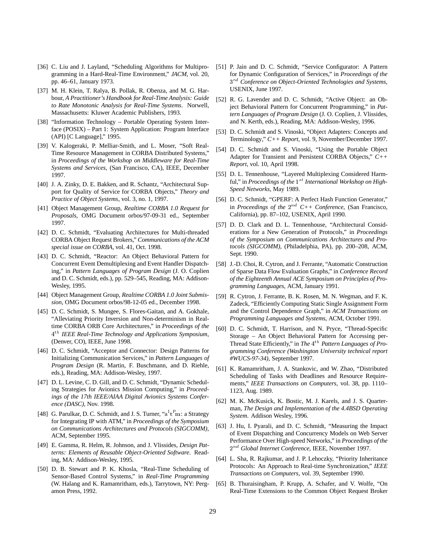- [36] C. Liu and J. Layland, "Scheduling Algorithms for Multiprogramming in a Hard-Real-Time Environment," *JACM*, vol. 20, pp. 46–61, January 1973.
- [37] M. H. Klein, T. Ralya, B. Pollak, R. Obenza, and M. G. Harbour, *A Practitioner's Handbook for Real-Time Analysis: Guide to Rate Monotonic Analysis for Real-Time Systems*. Norwell, Massachusetts: Kluwer Academic Publishers, 1993.
- [38] "Information Technology Portable Operating System Interface (POSIX) – Part 1: System Application: Program Interface (API) [C Language]," 1995.
- [39] V. Kalogeraki, P. Melliar-Smith, and L. Moser, "Soft Real-Time Resource Management in CORBA Distributed Systems," in *Proceedings of the Workshop on Middleware for Real-Time Systems and Services*, (San Francisco, CA), IEEE, December 1997.
- [40] J. A. Zinky, D. E. Bakken, and R. Schantz, "Architectural Support for Quality of Service for CORBA Objects," *Theory and Practice of Object Systems*, vol. 3, no. 1, 1997.
- [41] Object Management Group, *Realtime CORBA 1.0 Request for Proposals*, OMG Document orbos/97-09-31 ed., September 1997.
- [42] D. C. Schmidt, "Evaluating Architectures for Multi-threaded CORBA Object Request Brokers," *Communications of the ACM special issue on CORBA*, vol. 41, Oct. 1998.
- [43] D. C. Schmidt, "Reactor: An Object Behavioral Pattern for Concurrent Event Demultiplexing and Event Handler Dispatching," in *Pattern Languages of Program Design* (J. O. Coplien and D. C. Schmidt, eds.), pp. 529–545, Reading, MA: Addison-Wesley, 1995.
- [44] Object Management Group, *Realtime CORBA 1.0 Joint Submission*, OMG Document orbos/98-12-05 ed., December 1998.
- [45] D. C. Schmidt, S. Mungee, S. Flores-Gaitan, and A. Gokhale, "Alleviating Priority Inversion and Non-determinism in Realtime CORBA ORB Core Architectures," in *Proceedings of the* <sup>4</sup> th *IEEE Real-Time Technology and Applications Symposium*, (Denver, CO), IEEE, June 1998.
- [46] D. C. Schmidt, "Acceptor and Connector: Design Patterns for Initializing Communication Services," in *Pattern Languages of Program Design* (R. Martin, F. Buschmann, and D. Riehle, eds.), Reading, MA: Addison-Wesley, 1997.
- [47] D. L. Levine, C. D. Gill, and D. C. Schmidt, "Dynamic Scheduling Strategies for Avionics Mission Computing," in *Proceedings of the 17th IEEE/AIAA Digital Avionics Systems Conference (DASC)*, Nov. 1998.
- [48] G. Parulkar, D. C. Schmidt, and J. S. Turner, " $a^1t^Pm$ : a Strategy for Integrating IP with ATM," in *Proceedings of the Symposium on Communications Architectures and Protocols (SIGCOMM)*, ACM, September 1995.
- [49] E. Gamma, R. Helm, R. Johnson, and J. Vlissides, *Design Patterns: Elements of Reusable Object-Oriented Software*. Reading, MA: Addison-Wesley, 1995.
- [50] D. B. Stewart and P. K. Khosla, "Real-Time Scheduling of Sensor-Based Control Systems," in *Real-Time Programming* (W. Halang and K. Ramamritham, eds.), Tarrytown, NY: Pergamon Press, 1992.
- [51] P. Jain and D. C. Schmidt, "Service Configurator: A Pattern for Dynamic Configuration of Services," in *Proceedings of the* <sup>3</sup> rd *Conference on Object-Oriented Technologies and Systems*, USENIX, June 1997.
- [52] R. G. Lavender and D. C. Schmidt, "Active Object: an Object Behavioral Pattern for Concurrent Programming," in *Pattern Languages of Program Design* (J. O. Coplien, J. Vlissides, and N. Kerth, eds.), Reading, MA: Addison-Wesley, 1996.
- [53] D. C. Schmidt and S. Vinoski, "Object Adapters: Concepts and Terminology," *C++ Report*, vol. 9, November/December 1997.
- [54] D. C. Schmidt and S. Vinoski, "Using the Portable Object Adapter for Transient and Persistent CORBA Objects," *C++ Report*, vol. 10, April 1998.
- [55] D. L. Tennenhouse, "Layered Multiplexing Considered Harmful," in *Proceedings of the*  $1^{st}$  *International Workshop on High-Speed Networks*, May 1989.
- [56] D. C. Schmidt, "GPERF: A Perfect Hash Function Generator," in *Proceedings of the*  $2^{nd}$  C++ Conference, (San Francisco, California), pp. 87–102, USENIX, April 1990.
- [57] D. D. Clark and D. L. Tennenhouse, "Architectural Considerations for a New Generation of Protocols," in *Proceedings of the Symposium on Communications Architectures and Protocols (SIGCOMM)*, (Philadelphia, PA), pp. 200–208, ACM, Sept. 1990.
- [58] J.-D. Choi, R. Cytron, and J. Ferrante, "Automatic Construction of Sparse Data Flow Evaluation Graphs," in *Conference Record of the Eighteenth Annual ACE Symposium on Principles of Programming Languages*, ACM, January 1991.
- [59] R. Cytron, J. Ferrante, B. K. Rosen, M. N. Wegman, and F. K. Zadeck, "Efficiently Computing Static Single Assignment Form and the Control Dependence Graph," in *ACM Transactions on Programming Languages and Systems*, ACM, October 1991.
- [60] D. C. Schmidt, T. Harrison, and N. Pryce, "Thread-Specific Storage – An Object Behavioral Pattern for Accessing per-Thread State Efficiently," in *The* 4<sup>th</sup> Pattern Languages of Pro*gramming Conference (Washington University technical report #WUCS-97-34)*, September 1997.
- [61] K. Ramamritham, J. A. Stankovic, and W. Zhao, "Distributed Scheduling of Tasks with Deadlines and Resource Requirements," *IEEE Transactions on Computers*, vol. 38, pp. 1110– 1123, Aug. 1989.
- [62] M. K. McKusick, K. Bostic, M. J. Karels, and J. S. Quarterman, *The Design and Implementation of the 4.4BSD Operating System*. Addison Wesley, 1996.
- [63] J. Hu, I. Pyarali, and D. C. Schmidt, "Measuring the Impact of Event Dispatching and Concurrency Models on Web Server Performance Over High-speed Networks," in *Proceedings of the* 2<sup>n d</sup> Global Internet Conference, IEEE, November 1997.
- [64] L. Sha, R. Rajkumar, and J. P. Lehoczky, "Priority Inheritance Protocols: An Approach to Real-time Synchronization," *IEEE Transactions on Computers*, vol. 39, September 1990.
- [65] B. Thuraisingham, P. Krupp, A. Schafer, and V. Wolfe, "On Real-Time Extensions to the Common Object Request Broker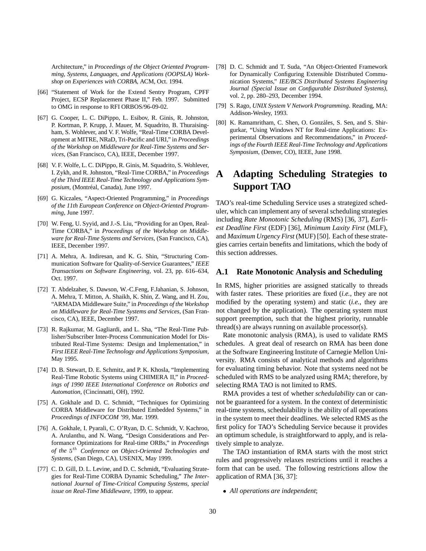Architecture," in *Proceedings of the Object Oriented Programming, Systems, Languages, and Applications (OOPSLA) Workshop on Experiences with CORBA*, ACM, Oct. 1994.

- [66] "Statement of Work for the Extend Sentry Program, CPFF Project, ECSP Replacement Phase II," Feb. 1997. Submitted to OMG in response to RFI ORBOS/96-09-02.
- [67] G. Cooper, L. C. DiPippo, L. Esibov, R. Ginis, R. Johnston, P. Kortman, P. Krupp, J. Mauer, M. Squadrito, B. Thuraisingham, S. Wohlever, and V. F. Wolfe, "Real-Time CORBA Development at MITRE, NRaD, Tri-Pacific and URI," in *Proceedings of the Workshop on Middleware for Real-Time Systems and Services*, (San Francisco, CA), IEEE, December 1997.
- [68] V. F. Wolfe, L. C. DiPippo, R. Ginis, M. Squadrito, S. Wohlever, I. Zykh, and R. Johnston, "Real-Time CORBA," in *Proceedings of the Third IEEE Real-Time Technology and Applications Symposium*, (Montréal, Canada), June 1997.
- [69] G. Kiczales, "Aspect-Oriented Programming," in *Proceedings of the 11th European Conference on Object-Oriented Programming*, June 1997.
- [70] W. Feng, U. Syyid, and J.-S. Liu, "Providing for an Open, Real-Time CORBA," in *Proceedings of the Workshop on Middleware for Real-Time Systems and Services*, (San Francisco, CA), IEEE, December 1997.
- [71] A. Mehra, A. Indiresan, and K. G. Shin, "Structuring Communication Software for Quality-of-Service Guarantees," *IEEE Transactions on Software Engineering*, vol. 23, pp. 616–634, Oct. 1997.
- [72] T. Abdelzaher, S. Dawson, W.-C.Feng, F.Jahanian, S. Johnson, A. Mehra, T. Mitton, A. Shaikh, K. Shin, Z. Wang, and H. Zou, "ARMADA Middleware Suite," in *Proceedings of the Workshop on Middleware for Real-Time Systems and Services*, (San Francisco, CA), IEEE, December 1997.
- [73] R. Rajkumar, M. Gagliardi, and L. Sha, "The Real-Time Publisher/Subscriber Inter-Process Communication Model for Distributed Real-Time Systems: Design and Implementation," in *First IEEE Real-Time Technology and Applications Symposium*, May 1995.
- [74] D. B. Stewart, D. E. Schmitz, and P. K. Khosla, "Implementing Real-Time Robotic Systems using CHIMERA II," in *Proceedings of 1990 IEEE International Conference on Robotics and Automation*, (Cincinnatti, OH), 1992.
- [75] A. Gokhale and D. C. Schmidt, "Techniques for Optimizing CORBA Middleware for Distributed Embedded Systems," in *Proceedings of INFOCOM '99*, Mar. 1999.
- [76] A. Gokhale, I. Pyarali, C. O'Ryan, D. C. Schmidt, V. Kachroo, A. Arulanthu, and N. Wang, "Design Considerations and Performance Optimizations for Real-time ORBs," in *Proceedings of the* <sup>5</sup> th *Conference on Object-Oriented Technologies and Systems*, (San Diego, CA), USENIX, May 1999.
- [77] C. D. Gill, D. L. Levine, and D. C. Schmidt, "Evaluating Strategies for Real-Time CORBA Dynamic Scheduling," *The International Journal of Time-Critical Computing Systems, special issue on Real-Time Middleware*, 1999, to appear.
- [78] D. C. Schmidt and T. Suda, "An Object-Oriented Framework for Dynamically Configuring Extensible Distributed Communication Systems," *IEE/BCS Distributed Systems Engineering Journal (Special Issue on Configurable Distributed Systems)*, vol. 2, pp. 280–293, December 1994.
- [79] S. Rago, *UNIX System V Network Programming*. Reading, MA: Addison-Wesley, 1993.
- [80] K. Ramamritham, C. Shen, O. Gonzáles, S. Sen, and S. Shirgurkar, "Using Windows NT for Real-time Applications: Experimental Observations and Recommendations," in *Proceedings of the Fourth IEEE Real-Time Technology and Applications Symposium*, (Denver, CO), IEEE, June 1998.

# **A Adapting Scheduling Strategies to Support TAO**

TAO's real-time Scheduling Service uses a strategized scheduler, which can implement any of several scheduling strategies including *Rate Monotonic Scheduling* (RMS) [36, 37], *Earliest Deadline First* (EDF) [36], *Minimum Laxity First* (MLF), and *Maximum Urgency First* (MUF) [50]. Each of these strategies carries certain benefits and limitations, which the body of this section addresses.

#### **A.1 Rate Monotonic Analysis and Scheduling**

In RMS, higher priorities are assigned statically to threads with faster rates. These priorities are fixed (*i.e.*, they are not modified by the operating system) and static (*i.e.*, they are not changed by the application). The operating system must support preemption, such that the highest priority, runnable thread(s) are always running on available processor(s).

Rate monotonic analysis (RMA), is used to validate RMS schedules. A great deal of research on RMA has been done at the Software Engineering Institute of Carnegie Mellon University. RMA consists of analytical methods and algorithms for evaluating timing behavior. Note that systems need not be scheduled with RMS to be analyzed using RMA; therefore, by selecting RMA TAO is not limited to RMS.

RMA provides a test of whether *schedulability* can or cannot be guaranteed for a system. In the context of deterministic real-time systems, schedulability is the ability of all operations in the system to meet their deadlines. We selected RMS as the first policy for TAO's Scheduling Service because it provides an optimum schedule, is straightforward to apply, and is relatively simple to analyze.

The TAO instantiation of RMA starts with the most strict rules and progressively relaxes restrictions until it reaches a form that can be used. The following restrictions allow the application of RMA [36, 37]:

*All operations are independent*;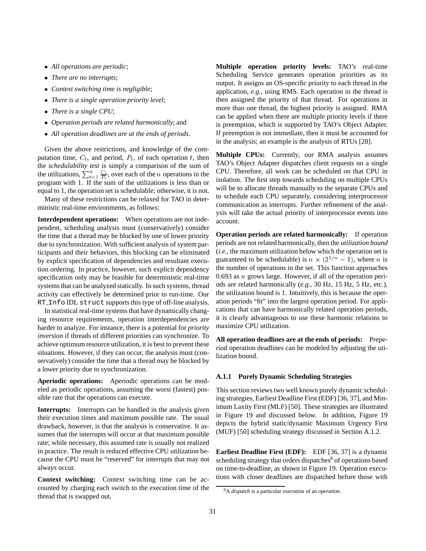- *All operations are periodic*;
- *There are no interrupts*;
- *Context switching time is negligible*;
- *There is a single operation priority level*;
- *There is a single CPU*;
- *Operation periods are related harmonically*; and
- *All operation deadlines are at the ends of periods*.

Given the above restrictions, and knowledge of the computation time,  $C_t$ , and period,  $P_t$ , of each operation t, then the *schedulability test* is simply a comparison of the sum of the utilizations,  $\sum_{t=1}^{n} \frac{C_t}{P_t}$ , over each of the *n* operations in the program with 1. If the sum of the utilizations is less than or equal to 1, the operation set is schedulable; otherwise, it is not.

Many of these restrictions can be relaxed for TAO in deterministic real-time environments, as follows:

**Interdependent operations:** When operations are not independent, scheduling analysis must (conservatively) consider the time that a thread may be blocked by one of lower priority due to synchronization. With sufficient analysis of system participants and their behaviors, this blocking can be eliminated by explicit specification of dependencies and resultant execution ordering. In practice, however, such explicit dependency specification only may be feasible for deterministic real-time systems that can be analyzed statically. In such systems, thread activity can effectively be determined prior to run-time. Our RT Info IDL struct supports this type of off-line analysis.

In statistical real-time systems that have dynamically changing resource requirements, operation interdependencies are harder to analyze. For instance, there is a potential for *priority inversion* if threads of different priorities can synchronize. To achieve optimum resource utilization, it is best to prevent these situations. However, if they can occur, the analysis must (conservatively) consider the time that a thread may be blocked by a lower priority due to synchronization.

**Aperiodic operations:** Aperiodic operations can be modeled as periodic operations, assuming the worst (fastest) possible rate that the operations can execute.

**Interrupts:** Interrupts can be handled in the analysis given their execution times and maximum possible rate. The usual drawback, however, is that the analysis is conservative. It assumes that the interrupts will occur at that maximum possible rate; while necessary, this assumed rate is usually not realized in practice. The result is reduced effective CPU utilization because the CPU must be "reserved" for interrupts that may not always occur.

**Context switching:** Context switching time can be accounted by charging each switch to the execution time of the thread that is swapped out.

**Multiple operation priority levels:** TAO's real-time Scheduling Service generates operation priorities as its output. It assigns an OS-specific priority to each thread in the application, *e.g.*, using RMS. Each operation in the thread is then assigned the priority of that thread. For operations in more than one thread, the highest priority is assigned. RMA can be applied when there are multiple priority levels if there is preemption, which is supported by TAO's Object Adapter. If preemption is not immediate, then it must be accounted for in the analysis; an example is the analysis of RTUs [28].

**Multiple CPUs:** Currently, our RMA analysis assumes TAO's Object Adapter dispatches client requests on a single CPU. Therefore, all work can be scheduled on that CPU in isolation. The first step towards scheduling on multiple CPUs will be to allocate threads manually to the separate CPUs and to schedule each CPU separately, considering interprocessor communication as interrupts. Further refinement of the analysis will take the actual priority of interprocessor events into account.

**Operation periods are related harmonically:** If operation periods are not related harmonically, then the *utilization bound* (*i.e.*, the maximum utilization below which the operation set is guaranteed to be schedulable) is  $n \times (2^{1/n} - 1)$ , where n is the number of operations in the set. This function approaches  $0.693$  as n grows large. However, if all of the operation periods are related harmonically (*e.g.*, 30 Hz, 15 Hz, 5 Hz, etc.), the utilization bound is 1. Intuitively, this is because the operation periods "fit" into the largest operation period. For applications that can have harmonically related operation periods, it is clearly advantageous to use these harmonic relations to maximize CPU utilization.

**All operation deadlines are at the ends of periods:** Preperiod operation deadlines can be modeled by adjusting the utilization bound.

#### **A.1.1 Purely Dynamic Scheduling Strategies**

This section reviews two well known purely dynamic scheduling strategies, Earliest Deadline First (EDF) [36, 37], and Minimum Laxity First (MLF) [50]. These strategies are illustrated in Figure 19 and discussed below. In addition, Figure 19 depicts the hybrid static/dynamic Maximum Urgency First (MUF) [50] scheduling strategy discussed in Section A.1.2.

**Earliest Deadline First (EDF):** EDF [36, 37] is a dynamic scheduling strategy that orders dispatches<sup>8</sup> of operations based on time-to-deadline, as shown in Figure 19. Operation executions with closer deadlines are dispatched before those with

<sup>8</sup>A *dispatch* is a particular execution of an *operation*.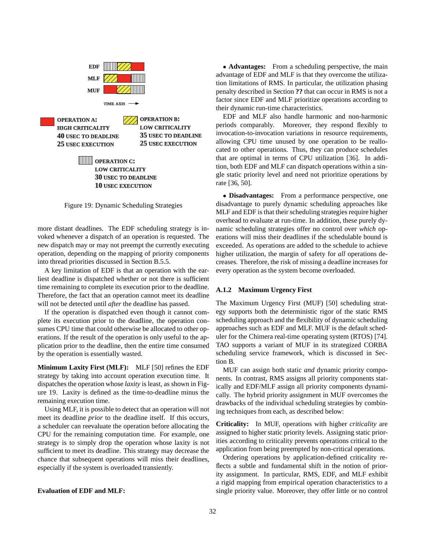

Figure 19: Dynamic Scheduling Strategies

more distant deadlines. The EDF scheduling strategy is invoked whenever a dispatch of an operation is requested. The new dispatch may or may not preempt the currently executing operation, depending on the mapping of priority components into thread priorities discussed in Section B.5.5.

A key limitation of EDF is that an operation with the earliest deadline is dispatched whether or not there is sufficient time remaining to complete its execution prior to the deadline. Therefore, the fact that an operation cannot meet its deadline will not be detected until *after* the deadline has passed.

If the operation is dispatched even though it cannot complete its execution prior to the deadline, the operation consumes CPU time that could otherwise be allocated to other operations. If the result of the operation is only useful to the application prior to the deadline, then the entire time consumed by the operation is essentially wasted.

**Minimum Laxity First (MLF):** MLF [50] refines the EDF strategy by taking into account operation execution time. It dispatches the operation whose *laxity* is least, as shown in Figure 19. Laxity is defined as the time-to-deadline minus the remaining execution time.

Using MLF, it is possible to detect that an operation will not meet its deadline *prior* to the deadline itself. If this occurs, a scheduler can reevaluate the operation before allocating the CPU for the remaining computation time. For example, one strategy is to simply drop the operation whose laxity is not sufficient to meet its deadline. This strategy may decrease the chance that subsequent operations will miss their deadlines, especially if the system is overloaded transiently.

#### **Evaluation of EDF and MLF:**

• **Advantages:** From a scheduling perspective, the main advantage of EDF and MLF is that they overcome the utilization limitations of RMS. In particular, the utilization phasing penalty described in Section **??** that can occur in RMS is not a factor since EDF and MLF prioritize operations according to their dynamic run-time characteristics.

EDF and MLF also handle harmonic and non-harmonic periods comparably. Moreover, they respond flexibly to invocation-to-invocation variations in resource requirements, allowing CPU time unused by one operation to be reallocated to other operations. Thus, they can produce schedules that are optimal in terms of CPU utilization [36]. In addition, both EDF and MLF can dispatch operations within a single static priority level and need not prioritize operations by rate [36, 50].

 **Disadvantages:** From a performance perspective, one disadvantage to purely dynamic scheduling approaches like MLF and EDF is that their scheduling strategies require higher overhead to evaluate at run-time. In addition, these purely dynamic scheduling strategies offer no control over *which* operations will miss their deadlines if the schedulable bound is exceeded. As operations are added to the schedule to achieve higher utilization, the margin of safety for *all* operations decreases. Therefore, the risk of missing a deadline increases for every operation as the system become overloaded.

#### **A.1.2 Maximum Urgency First**

The Maximum Urgency First (MUF) [50] scheduling strategy supports both the deterministic rigor of the static RMS scheduling approach and the flexibility of dynamic scheduling approaches such as EDF and MLF. MUF is the default scheduler for the Chimera real-time operating system (RTOS) [74]. TAO supports a variant of MUF in its strategized CORBA scheduling service framework, which is discussed in Section B.

MUF can assign both static *and* dynamic priority components. In contrast, RMS assigns all priority components statically and EDF/MLF assign all priority components dynamically. The hybrid priority assignment in MUF overcomes the drawbacks of the individual scheduling strategies by combining techniques from each, as described below:

**Criticality:** In MUF, operations with higher *criticality* are assigned to higher static priority levels. Assigning static priorities according to criticality prevents operations critical to the application from being preempted by non-critical operations.

Ordering operations by application-defined criticality reflects a subtle and fundamental shift in the notion of priority assignment. In particular, RMS, EDF, and MLF exhibit a rigid mapping from empirical operation characteristics to a single priority value. Moreover, they offer little or no control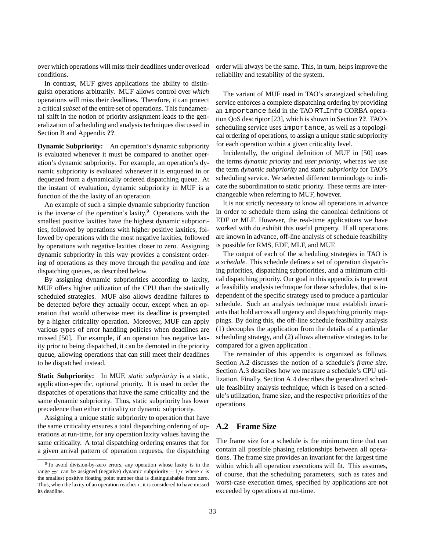over which operations will miss their deadlines under overload conditions.

In contrast, MUF gives applications the ability to distinguish operations arbitrarily. MUF allows control over *which* operations will miss their deadlines. Therefore, it can protect a critical *subset* of the entire set of operations. This fundamental shift in the notion of priority assignment leads to the generalization of scheduling and analysis techniques discussed in Section B and Appendix **??**.

**Dynamic Subpriority:** An operation's dynamic subpriority is evaluated whenever it must be compared to another operation's dynamic subpriority. For example, an operation's dynamic subpriority is evaluated whenever it is enqueued in or dequeued from a dynamically ordered dispatching queue. At the instant of evaluation, dynamic subpriority in MUF is a function of the the laxity of an operation.

An example of such a simple dynamic subpriority function is the inverse of the operation's laxity. $9$  Operations with the smallest positive laxities have the highest dynamic subpriorities, followed by operations with higher positive laxities, followed by operations with the most negative laxities, followed by operations with negative laxities closer to zero. Assigning dynamic subpriority in this way provides a consistent ordering of operations as they move through the *pending* and *late* dispatching queues, as described below.

By assigning dynamic subpriorities according to laxity, MUF offers higher utilization of the CPU than the statically scheduled strategies. MUF also allows deadline failures to be detected *before* they actually occur, except when an operation that would otherwise meet its deadline is preempted by a higher criticality operation. Moreover, MUF can apply various types of error handling policies when deadlines are missed [50]. For example, if an operation has negative laxity prior to being dispatched, it can be demoted in the priority queue, allowing operations that can still meet their deadlines to be dispatched instead.

**Static Subpriority:** In MUF, *static subpriority* is a static, application-specific, optional priority. It is used to order the dispatches of operations that have the same criticality and the same dynamic subpriority. Thus, static subpriority has lower precedence than either criticality or dynamic subpriority.

Assigning a unique static subpriority to operation that have the same criticality ensures a total dispatching ordering of operations at run-time, for any operation laxity values having the same criticality. A total dispatching ordering ensures that for a given arrival pattern of operation requests, the dispatching order will always be the same. This, in turn, helps improve the reliability and testability of the system.

The variant of MUF used in TAO's strategized scheduling service enforces a complete dispatching ordering by providing an importance field in the TAO RT Info CORBA operation QoS descriptor [23], which is shown in Section **??**. TAO's scheduling service uses importance, as well as a topological ordering of operations, to assign a unique static subpriority for each operation within a given criticality level.

Incidentally, the original definition of MUF in [50] uses the terms *dynamic priority* and *user priority*, whereas we use the term *dynamic subpriority* and *static subpriority* for TAO's scheduling service. We selected different terminology to indicate the subordination to static priority. These terms are interchangeable when referring to MUF, however.

It is not strictly necessary to know all operations in advance in order to schedule them using the canonical definitions of EDF or MLF. However, the real-time applications we have worked with do exhibit this useful property. If all operations are known in advance, off-line analysis of schedule feasibility is possible for RMS, EDF, MLF, and MUF.

The output of each of the scheduling strategies in TAO is a *schedule*. This schedule defines a set of operation dispatching priorities, dispatching subpriorities, and a minimum critical dispatching priority. Our goal in this appendix is to present a feasibility analysis technique for these schedules, that is independent of the specific strategy used to produce a particular schedule. Such an analysis technique must establish invariants that hold across all urgency and dispatching priority mappings. By doing this, the off-line schedule feasibility analysis (1) decouples the application from the details of a particular scheduling strategy, and (2) allows alternative strategies to be compared for a given application .

The remainder of this appendix is organized as follows. Section A.2 discusses the notion of a schedule's *frame size*. Section A.3 describes how we measure a schedule's CPU utilization. Finally, Section A.4 describes the generalized schedule feasibility analysis technique, which is based on a schedule's utilization, frame size, and the respective priorities of the operations.

### **A.2 Frame Size**

The frame size for a schedule is the minimum time that can contain all possible phasing relationships between all operations. The frame size provides an invariant for the largest time within which all operation executions will fit. This assumes, of course, that the scheduling parameters, such as rates and worst-case execution times, specified by applications are not exceeded by operations at run-time.

<sup>9</sup>To avoid division-by-zero errors, any operation whose laxity is in the range  $\pm \epsilon$  can be assigned (negative) dynamic subpriority  $-1/\epsilon$  where  $\epsilon$  is the smallest positive floating point number that is distinguishable from zero. Thus, when the laxity of an operation reaches  $\epsilon$ , it is considered to have missed its deadline.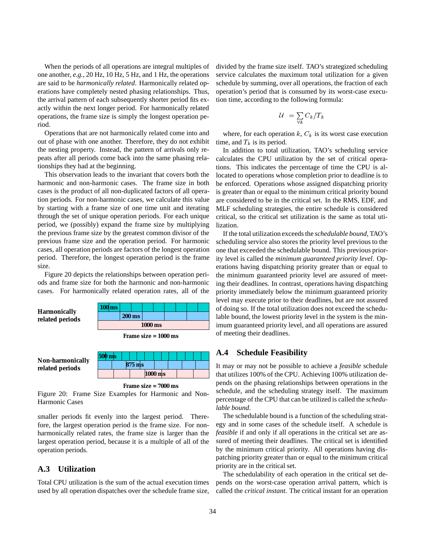When the periods of all operations are integral multiples of one another, *e.g.*, 20 Hz, 10 Hz, 5 Hz, and 1 Hz, the operations are said to be *harmonically related*. Harmonically related operations have completely nested phasing relationships. Thus, the arrival pattern of each subsequently shorter period fits exactly within the next longer period. For harmonically related operations, the frame size is simply the longest operation period.

Operations that are not harmonically related come into and out of phase with one another. Therefore, they do not exhibit the nesting property. Instead, the pattern of arrivals only repeats after all periods come back into the same phasing relationships they had at the beginning.

This observation leads to the invariant that covers both the harmonic and non-harmonic cases. The frame size in both cases is the product of all non-duplicated factors of all operation periods. For non-harmonic cases, we calculate this value by starting with a frame size of one time unit and iterating through the set of unique operation periods. For each unique period, we (possibly) expand the frame size by multiplying the previous frame size by the greatest common divisor of the previous frame size and the operation period. For harmonic cases, all operation periods are factors of the longest operation period. Therefore, the longest operation period is the frame size.

Figure 20 depicts the relationships between operation periods and frame size for both the harmonic and non-harmonic cases. For harmonically related operation rates, all of the





**Frame size = 7000 ms**

Figure 20: Frame Size Examples for Harmonic and Non-Harmonic Cases

smaller periods fit evenly into the largest period. Therefore, the largest operation period *is* the frame size. For nonharmonically related rates, the frame size is larger than the largest operation period, because it is a multiple of all of the operation periods.

### **A.3 Utilization**

Total CPU utilization is the sum of the actual execution times used by all operation dispatches over the schedule frame size, divided by the frame size itself. TAO's strategized scheduling service calculates the maximum total utilization for a given schedule by summing, over all operations, the fraction of each operation's period that is consumed by its worst-case execution time, according to the following formula:

$$
\mathcal{U} = \sum_{\forall k} C_k / T_k
$$

where, for each operation  $k$ ,  $C_k$  is its worst case execution time, and  $T_k$  is its period.

In addition to total utilization, TAO's scheduling service calculates the CPU utilization by the set of critical operations. This indicates the percentage of time the CPU is allocated to operations whose completion prior to deadline is to be enforced. Operations whose assigned dispatching priority is greater than or equal to the minimum critical priority bound are considered to be in the critical set. In the RMS, EDF, and MLF scheduling strategies, the entire schedule is considered critical, so the critical set utilization is the same as total utilization.

If the total utilization exceeds the *schedulable bound*, TAO's scheduling service also stores the priority level previous to the one that exceeded the schedulable bound. This previous priority level is called the *minimum guaranteed priority level*. Operations having dispatching priority greater than or equal to the minimum guaranteed priority level are assured of meeting their deadlines. In contrast, operations having dispatching priority immediately below the minimum guaranteed priority level may execute prior to their deadlines, but are not assured of doing so. If the total utilization does not exceed the schedulable bound, the lowest priority level in the system is the minimum guaranteed priority level, and all operations are assured of meeting their deadlines.

#### **A.4 Schedule Feasibility**

It may or may not be possible to achieve a *feasible* schedule that utilizes 100% of the CPU. Achieving 100% utilization depends on the phasing relationships between operations in the schedule, and the scheduling strategy itself. The maximum percentage of the CPU that can be utilized is called the *schedulable bound*.

The schedulable bound is a function of the scheduling strategy and in some cases of the schedule itself. A schedule is *feasible* if and only if all operations in the critical set are assured of meeting their deadlines. The critical set is identified by the minimum critical priority. All operations having dispatching priority greater than or equal to the minimum critical priority are in the critical set.

The schedulability of each operation in the critical set depends on the worst-case operation arrival pattern, which is called the *critical instant*. The critical instant for an operation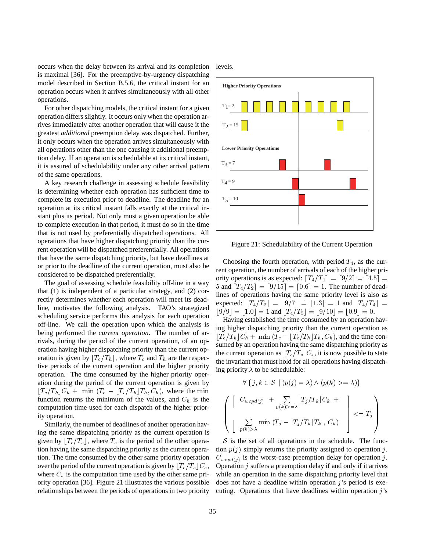occurs when the delay between its arrival and its completion is maximal [36]. For the preemptive-by-urgency dispatching model described in Section B.5.6, the critical instant for an operation occurs when it arrives simultaneously with all other operations.

For other dispatching models, the critical instant for a given operation differs slightly. It occurs only when the operation arrives immediately after another operation that will cause it the greatest *additional* preemption delay was dispatched. Further, it only occurs when the operation arrives simultaneously with all operations other than the one causing it additional preemption delay. If an operation is schedulable at its critical instant, it is assured of schedulability under any other arrival pattern of the same operations.

A key research challenge in assessing schedule feasibility is determining whether each operation has sufficient time to complete its execution prior to deadline. The deadline for an operation at its critical instant falls exactly at the critical instant plus its period. Not only must a given operation be able to complete execution in that period, it must do so in the time that is not used by preferentially dispatched operations. All operations that have higher dispatching priority than the current operation will be dispatched preferentially. All operations that have the same dispatching priority, but have deadlines at or prior to the deadline of the current operation, must also be considered to be dispatched preferentially.

The goal of assessing schedule feasibility off-line in a way that (1) is independent of a particular strategy, and (2) correctly determines whether each operation will meet its deadline, motivates the following analysis. TAO's strategized scheduling service performs this analysis for each operation off-line. We call the operation upon which the analysis is being performed the *current operation*. The number of arrivals, during the period of the current operation, of an operation having higher dispatching priority than the current operation is given by  $[T_c/T_h]$ , where  $T_c$  and  $T_h$  are the respective periods of the current operation and the higher priority operation. The time consumed by the higher priority operation during the period of the current operation is given by  $\lfloor T_c/T_h\rfloor C_h + \min (T_c - \lfloor T_c/T_h\rfloor T_h, C_h),$  where the min function returns the minimum of the values, and  $C_h$  is the computation time used for each dispatch of the higher priority operation.

Similarly, the number of deadlines of another operation having the same dispatching priority as the current operation is given by  $T_c/T_s$ , where  $T_s$  is the period of the other operation having the same dispatching priority as the current operation. The time consumed by the other same priority operation over the period of the current operation is given by  $T_c/T_s/C_s$ , where  $C_s$  is the computation time used by the other same priority operation [36]. Figure 21 illustrates the various possible relationships between the periods of operations in two priority

levels.



Figure 21: Schedulability of the Current Operation

Choosing the fourth operation, with period  $T_4$ , as the current operation, the number of arrivals of each of the higher priority operations is as expected:  $[T_4/T_1] = [9/2] = [4.5] =$ 5 and  $[T_4/T_2] = [9/15] = [0.6] = 1$ . The number of deadlines of operations having the same priority level is also as expected:  $[T_4/T_3] = [9/7] = [1.3] = 1$  and  $[T_4/T_4] =$  $|9/9| = |1.0| = 1$  and  $|T_4/T_5| = |9/10| = |0.9| = 0$ .

Having established the time consumed by an operation having higher dispatching priority than the current operation as  $\lfloor T_c/T_h\rfloor C_h + \min\left(T_c - \lfloor T_c/T_h\rfloor T_h, C_h\right)$ , and the time consumed by an operation having the same dispatching priority as the current operation as  $T_c/T_s/C_s$ , it is now possible to state the invariant that must hold for all operations having dispatching priority  $\lambda$  to be schedulable:

$$
\forall \{j, k \in S \mid (p(j) = \lambda) \land (p(k) > = \lambda)\}
$$

$$
\left( \begin{bmatrix} C_{wcpd(j)} & + \sum_{p(k) > = \lambda} [T_j/T_k] C_k & + \\ \sum_{p(k) > \lambda} \min \left( T_j - \lfloor T_j/T_k \rfloor T_k \right), C_k \right) & < = T_j \end{bmatrix} < = T_j
$$

 $S$  is the set of all operations in the schedule. The function  $p(j)$  simply returns the priority assigned to operation j.  $C_{wcpd(j)}$  is the worst-case preemption delay for operation j. Operation  $j$  suffers a preemption delay if and only if it arrives while an operation in the same dispatching priority level that does not have a deadline within operation  $j$ 's period is executing. Operations that have deadlines within operation  $j$ 's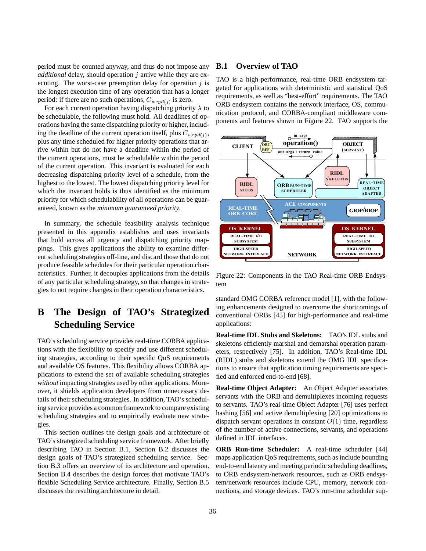period must be counted anyway, and thus do not impose any *additional* delay, should operation *j* arrive while they are executing. The worst-case preemption delay for operation  $j$  is the longest execution time of any operation that has a longer period: if there are no such operations,  $C_{wcpd(i)}$  is zero.

For each current operation having dispatching priority  $\lambda$  to be schedulable, the following must hold. All deadlines of operations having the same dispatching priority or higher, including the deadline of the current operation itself, plus  $C_{wcpd(j)}$ , plus any time scheduled for higher priority operations that arrive within but do not have a deadline within the period of the current operations, must be schedulable within the period of the current operation. This invariant is evaluated for each decreasing dispatching priority level of a schedule, from the highest to the lowest. The lowest dispatching priority level for which the invariant holds is thus identified as the minimum priority for which schedulability of all operations can be guaranteed, known as the *minimum guaranteed priority*.

In summary, the schedule feasibility analysis technique presented in this appendix establishes and uses invariants that hold across all urgency and dispatching priority mappings. This gives applications the ability to examine different scheduling strategies off-line, and discard those that do not produce feasible schedules for their particular operation characteristics. Further, it decouples applications from the details of any particular scheduling strategy, so that changes in strategies to not require changes in their operation characteristics.

# **B The Design of TAO's Strategized Scheduling Service**

TAO's scheduling service provides real-time CORBA applications with the flexibility to specify and use different scheduling strategies, according to their specific QoS requirements and available OS features. This flexibility allows CORBA applications to extend the set of available scheduling strategies *without* impacting strategies used by other applications. Moreover, it shields application developers from unnecessary details of their scheduling strategies. In addition, TAO's scheduling service provides a common framework to compare existing scheduling strategies and to empirically evaluate new strategies.

This section outlines the design goals and architecture of TAO's strategized scheduling service framework. After briefly describing TAO in Section B.1, Section B.2 discusses the design goals of TAO's strategized scheduling service. Section B.3 offers an overview of its architecture and operation. Section B.4 describes the design forces that motivate TAO's flexible Scheduling Service architecture. Finally, Section B.5 discusses the resulting architecture in detail.

### **B.1 Overview of TAO**

TAO is a high-performance, real-time ORB endsystem targeted for applications with deterministic and statistical QoS requirements, as well as "best-effort" requirements. The TAO ORB endsystem contains the network interface, OS, communication protocol, and CORBA-compliant middleware components and features shown in Figure 22. TAO supports the



Figure 22: Components in the TAO Real-time ORB Endsystem

standard OMG CORBA reference model [1], with the following enhancements designed to overcome the shortcomings of conventional ORBs [45] for high-performance and real-time applications:

**Real-time IDL Stubs and Skeletons:** TAO's IDL stubs and skeletons efficiently marshal and demarshal operation parameters, respectively [75]. In addition, TAO's Real-time IDL (RIDL) stubs and skeletons extend the OMG IDL specifications to ensure that application timing requirements are specified and enforced end-to-end [68].

**Real-time Object Adapter:** An Object Adapter associates servants with the ORB and demultiplexes incoming requests to servants. TAO's real-time Object Adapter [76] uses perfect hashing [56] and active demultiplexing [20] optimizations to dispatch servant operations in constant  $O(1)$  time, regardless of the number of active connections, servants, and operations defined in IDL interfaces.

**ORB Run-time Scheduler:** A real-time scheduler [44] maps application QoS requirements, such as include bounding end-to-end latency and meeting periodic scheduling deadlines, to ORB endsystem/network resources, such as ORB endsystem/network resources include CPU, memory, network connections, and storage devices. TAO's run-time scheduler sup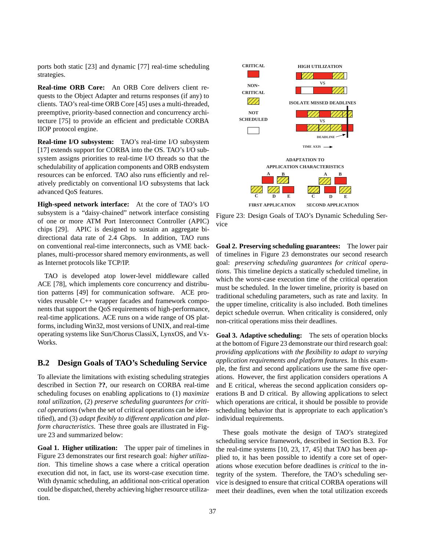ports both static [23] and dynamic [77] real-time scheduling strategies.

**Real-time ORB Core:** An ORB Core delivers client requests to the Object Adapter and returns responses (if any) to clients. TAO's real-time ORB Core [45] uses a multi-threaded, preemptive, priority-based connection and concurrency architecture [75] to provide an efficient and predictable CORBA IIOP protocol engine.

**Real-time I/O subsystem:** TAO's real-time I/O subsystem [17] extends support for CORBA into the OS. TAO's I/O subsystem assigns priorities to real-time I/O threads so that the schedulability of application components and ORB endsystem resources can be enforced. TAO also runs efficiently and relatively predictably on conventional I/O subsystems that lack advanced QoS features.

**High-speed network interface:** At the core of TAO's I/O subsystem is a "daisy-chained" network interface consisting of one or more ATM Port Interconnect Controller (APIC) chips [29]. APIC is designed to sustain an aggregate bidirectional data rate of 2.4 Gbps. In addition, TAO runs on conventional real-time interconnects, such as VME backplanes, multi-processor shared memory environments, as well as Internet protocols like TCP/IP.

TAO is developed atop lower-level middleware called ACE [78], which implements core concurrency and distribution patterns [49] for communication software. ACE provides reusable C++ wrapper facades and framework components that support the QoS requirements of high-performance, real-time applications. ACE runs on a wide range of OS platforms, including Win32, most versions of UNIX, and real-time operating systems like Sun/Chorus ClassiX, LynxOS, and Vx-Works.

### **B.2 Design Goals of TAO's Scheduling Service**

To alleviate the limitations with existing scheduling strategies described in Section **??**, our research on CORBA real-time scheduling focuses on enabling applications to (1) *maximize total utilization*, (2) *preserve scheduling guarantees for critical operations* (when the set of critical operations can be identified), and (3) *adapt flexibly to different application and platform characteristics*. These three goals are illustrated in Figure 23 and summarized below:

**Goal 1. Higher utilization:** The upper pair of timelines in Figure 23 demonstrates our first research goal: *higher utilization*. This timeline shows a case where a critical operation execution did not, in fact, use its worst-case execution time. With dynamic scheduling, an additional non-critical operation could be dispatched, thereby achieving higher resource utilization.



Figure 23: Design Goals of TAO's Dynamic Scheduling Service

**Goal 2. Preserving scheduling guarantees:** The lower pair of timelines in Figure 23 demonstrates our second research goal: *preserving scheduling guarantees for critical operations*. This timeline depicts a statically scheduled timeline, in which the worst-case execution time of the critical operation must be scheduled. In the lower timeline, priority is based on traditional scheduling parameters, such as rate and laxity. In the upper timeline, criticality is also included. Both timelines depict schedule overrun. When criticality is considered, only non-critical operations miss their deadlines.

**Goal 3. Adaptive scheduling:** The sets of operation blocks at the bottom of Figure 23 demonstrate our third research goal: *providing applications with the flexibility to adapt to varying application requirements and platform features*. In this example, the first and second applications use the same five operations. However, the first application considers operations A and E critical, whereas the second application considers operations B and D critical. By allowing applications to select which operations are critical, it should be possible to provide scheduling behavior that is appropriate to each application's individual requirements.

These goals motivate the design of TAO's strategized scheduling service framework, described in Section B.3. For the real-time systems [10, 23, 17, 45] that TAO has been applied to, it has been possible to identify a core set of operations whose execution before deadlines is *critical* to the integrity of the system. Therefore, the TAO's scheduling service is designed to ensure that critical CORBA operations will meet their deadlines, even when the total utilization exceeds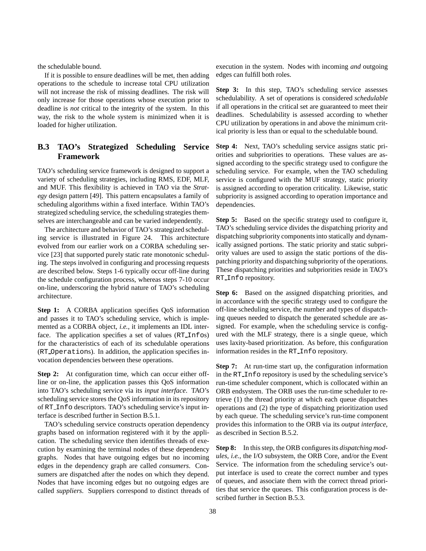the schedulable bound.

If it is possible to ensure deadlines will be met, then adding operations to the schedule to increase total CPU utilization will not increase the risk of missing deadlines. The risk will only increase for those operations whose execution prior to deadline is *not* critical to the integrity of the system. In this way, the risk to the whole system is minimized when it is loaded for higher utilization.

# **B.3 TAO's Strategized Scheduling Service Framework**

TAO's scheduling service framework is designed to support a variety of scheduling strategies, including RMS, EDF, MLF, and MUF. This flexibility is achieved in TAO via the *Strategy* design pattern [49]. This pattern encapsulates a family of scheduling algorithms within a fixed interface. Within TAO's strategized scheduling service, the scheduling strategies themselves are interchangeable and can be varied independently.

The architecture and behavior of TAO's strategized scheduling service is illustrated in Figure 24. This architecture evolved from our earlier work on a CORBA scheduling service [23] that supported purely static rate monotonic scheduling. The steps involved in configuring and processing requests are described below. Steps 1-6 typically occur off-line during the schedule configuration process, whereas steps 7-10 occur on-line, underscoring the hybrid nature of TAO's scheduling architecture.

**Step 1:** A CORBA application specifies QoS information and passes it to TAO's scheduling service, which is implemented as a CORBA object, *i.e.*, it implements an IDL interface. The application specifies a set of values (RT Infos) for the characteristics of each of its schedulable operations (RT Operations). In addition, the application specifies invocation dependencies between these operations.

**Step 2:** At configuration time, which can occur either offline or on-line, the application passes this QoS information into TAO's scheduling service via its *input interface*. TAO's scheduling service stores the QoS information in its repository of RT Info descriptors. TAO's scheduling service's input interface is described further in Section B.5.1.

TAO's scheduling service constructs operation dependency graphs based on information registered with it by the application. The scheduling service then identifies threads of execution by examining the terminal nodes of these dependency graphs. Nodes that have outgoing edges but no incoming edges in the dependency graph are called *consumers*. Consumers are dispatched after the nodes on which they depend. Nodes that have incoming edges but no outgoing edges are called *suppliers*. Suppliers correspond to distinct threads of

execution in the system. Nodes with incoming *and* outgoing edges can fulfill both roles.

**Step 3:** In this step, TAO's scheduling service assesses schedulability. A set of operations is considered *schedulable* if all operations in the critical set are guaranteed to meet their deadlines. Schedulability is assessed according to whether CPU utilization by operations in and above the minimum critical priority is less than or equal to the schedulable bound.

**Step 4:** Next, TAO's scheduling service assigns static priorities and subpriorities to operations. These values are assigned according to the specific strategy used to configure the scheduling service. For example, when the TAO scheduling service is configured with the MUF strategy, static priority is assigned according to operation criticality. Likewise, static subpriority is assigned according to operation importance and dependencies.

**Step 5:** Based on the specific strategy used to configure it, TAO's scheduling service divides the dispatching priority and dispatching subpriority components into statically and dynamically assigned portions. The static priority and static subpriority values are used to assign the static portions of the dispatching priority and dispatching subpriority of the operations. These dispatching priorities and subpriorities reside in TAO's RT Info repository.

**Step 6:** Based on the assigned dispatching priorities, and in accordance with the specific strategy used to configure the off-line scheduling service, the number and types of dispatching queues needed to dispatch the generated schedule are assigned. For example, when the scheduling service is configured with the MLF strategy, there is a single queue, which uses laxity-based prioritization. As before, this configuration information resides in the RT Info repository.

**Step 7:** At run-time start up, the configuration information in the RT Info repository is used by the scheduling service's run-time scheduler component, which is collocated within an ORB endsystem. The ORB uses the run-time scheduler to retrieve (1) the thread priority at which each queue dispatches operations and (2) the type of dispatching prioritization used by each queue. The scheduling service's run-time component provides this information to the ORB via its *output interface*, as described in Section B.5.2.

**Step 8:** In this step, the ORB configures its *dispatching modules*, *i.e.*, the I/O subsystem, the ORB Core, and/or the Event Service. The information from the scheduling service's output interface is used to create the correct number and types of queues, and associate them with the correct thread priorities that service the queues. This configuration process is described further in Section B.5.3.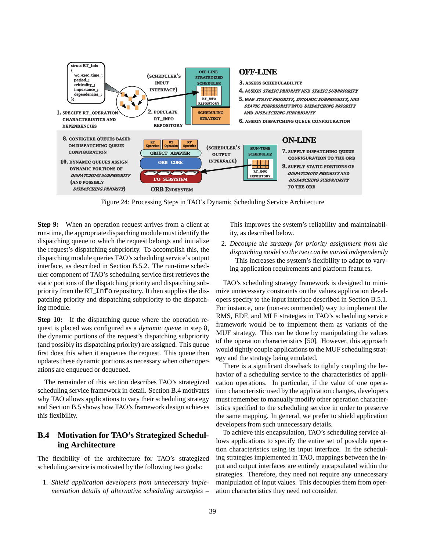

Figure 24: Processing Steps in TAO's Dynamic Scheduling Service Architecture

**Step 9:** When an operation request arrives from a client at run-time, the appropriate dispatching module must identify the dispatching queue to which the request belongs and initialize the request's dispatching subpriority. To accomplish this, the dispatching module queries TAO's scheduling service's output interface, as described in Section B.5.2. The run-time scheduler component of TAO's scheduling service first retrieves the static portions of the dispatching priority and dispatching subpriority from the RT Info repository. It then supplies the dispatching priority and dispatching subpriority to the dispatching module.

**Step 10:** If the dispatching queue where the operation request is placed was configured as a *dynamic queue* in step 8, the dynamic portions of the request's dispatching subpriority (and possibly its dispatching priority) are assigned. This queue first does this when it enqueues the request. This queue then updates these dynamic portions as necessary when other operations are enqueued or dequeued.

The remainder of this section describes TAO's strategized scheduling service framework in detail. Section B.4 motivates why TAO allows applications to vary their scheduling strategy and Section B.5 shows how TAO's framework design achieves this flexibility.

# **B.4 Motivation for TAO's Strategized Scheduling Architecture**

The flexibility of the architecture for TAO's strategized scheduling service is motivated by the following two goals:

1. *Shield application developers from unnecessary implementation details of alternative scheduling strategies* –

This improves the system's reliability and maintainability, as described below.

2. *Decouple the strategy for priority assignment from the dispatching model so the two can be varied independently* – This increases the system's flexibility to adapt to varying application requirements and platform features.

TAO's scheduling strategy framework is designed to minimize unnecessary constraints on the values application developers specify to the input interface described in Section B.5.1. For instance, one (non-recommended) way to implement the RMS, EDF, and MLF strategies in TAO's scheduling service framework would be to implement them as variants of the MUF strategy. This can be done by manipulating the values of the operation characteristics [50]. However, this approach would tightly couple applications to the MUF scheduling strategy and the strategy being emulated.

There is a significant drawback to tightly coupling the behavior of a scheduling service to the characteristics of application operations. In particular, if the value of one operation characteristic used by the application changes, developers must remember to manually modify other operation characteristics specified to the scheduling service in order to preserve the same mapping. In general, we prefer to shield application developers from such unnecessary details.

To achieve this encapsulation, TAO's scheduling service allows applications to specify the entire set of possible operation characteristics using its input interface. In the scheduling strategies implemented in TAO, mappings between the input and output interfaces are entirely encapsulated within the strategies. Therefore, they need not require any unnecessary manipulation of input values. This decouples them from operation characteristics they need not consider.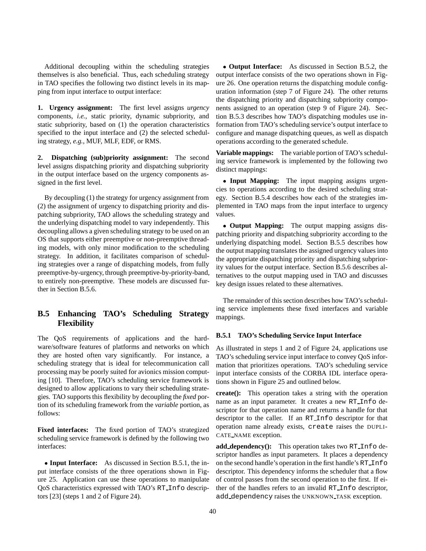Additional decoupling within the scheduling strategies themselves is also beneficial. Thus, each scheduling strategy in TAO specifies the following two distinct levels in its mapping from input interface to output interface:

**1. Urgency assignment:** The first level assigns *urgency* components, *i.e.*, static priority, dynamic subpriority, and static subpriority, based on (1) the operation characteristics specified to the input interface and (2) the selected scheduling strategy, *e.g.*, MUF, MLF, EDF, or RMS.

**2. Dispatching (sub)priority assignment:** The second level assigns dispatching priority and dispatching subpriority in the output interface based on the urgency components assigned in the first level.

By decoupling (1) the strategy for urgency assignment from (2) the assignment of urgency to dispatching priority and dispatching subpriority, TAO allows the scheduling strategy and the underlying dispatching model to vary independently. This decoupling allows a given scheduling strategy to be used on an OS that supports either preemptive or non-preemptive threading models, with only minor modification to the scheduling strategy. In addition, it facilitates comparison of scheduling strategies over a range of dispatching models, from fully preemptive-by-urgency, through preemptive-by-priority-band, to entirely non-preemptive. These models are discussed further in Section B.5.6.

# **B.5 Enhancing TAO's Scheduling Strategy Flexibility**

The QoS requirements of applications and the hardware/software features of platforms and networks on which they are hosted often vary significantly. For instance, a scheduling strategy that is ideal for telecommunication call processing may be poorly suited for avionics mission computing [10]. Therefore, TAO's scheduling service framework is designed to allow applications to vary their scheduling strategies. TAO supports this flexibility by decoupling the *fixed* portion of its scheduling framework from the *variable* portion, as follows:

**Fixed interfaces:** The fixed portion of TAO's strategized scheduling service framework is defined by the following two interfaces:

 **Input Interface:** As discussed in Section B.5.1, the input interface consists of the three operations shown in Figure 25. Application can use these operations to manipulate QoS characteristics expressed with TAO's RT Info descriptors [23] (steps 1 and 2 of Figure 24).

 **Output Interface:** As discussed in Section B.5.2, the output interface consists of the two operations shown in Figure 26. One operation returns the dispatching module configuration information (step 7 of Figure 24). The other returns the dispatching priority and dispatching subpriority components assigned to an operation (step 9 of Figure 24). Section B.5.3 describes how TAO's dispatching modules use information from TAO's scheduling service's output interface to configure and manage dispatching queues, as well as dispatch operations according to the generated schedule.

**Variable mappings:** The variable portion of TAO's scheduling service framework is implemented by the following two distinct mappings:

 **Input Mapping:** The input mapping assigns urgencies to operations according to the desired scheduling strategy. Section B.5.4 describes how each of the strategies implemented in TAO maps from the input interface to urgency values.

 **Output Mapping:** The output mapping assigns dispatching priority and dispatching subpriority according to the underlying dispatching model. Section B.5.5 describes how the output mapping translates the assigned urgency values into the appropriate dispatching priority and dispatching subpriority values for the output interface. Section B.5.6 describes alternatives to the output mapping used in TAO and discusses key design issues related to these alternatives.

The remainder of this section describes how TAO's scheduling service implements these fixed interfaces and variable mappings.

#### **B.5.1 TAO's Scheduling Service Input Interface**

As illustrated in steps 1 and 2 of Figure 24, applications use TAO's scheduling service input interface to convey QoS information that prioritizes operations. TAO's scheduling service input interface consists of the CORBA IDL interface operations shown in Figure 25 and outlined below.

**create():** This operation takes a string with the operation name as an input parameter. It creates a new RT Info descriptor for that operation name and returns a handle for that descriptor to the caller. If an RT Info descriptor for that operation name already exists, create raises the DUPLI-CATE NAME exception.

**add dependency():** This operation takes two RT Info descriptor handles as input parameters. It places a dependency on the second handle's operation in the first handle's RT Info descriptor. This dependency informs the scheduler that a flow of control passes from the second operation to the first. If either of the handles refers to an invalid RT Info descriptor, add dependency raises the UNKNOWN TASK exception.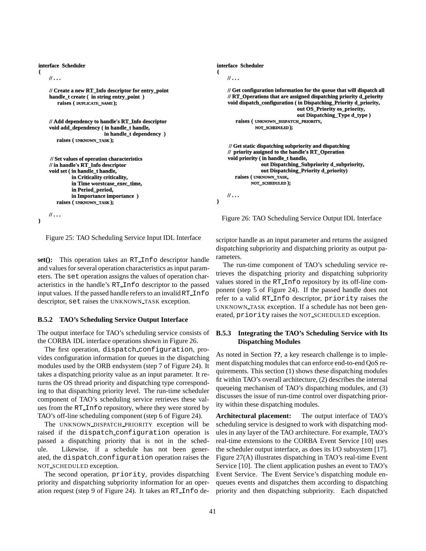```
interface Scheduler
```
**{**

```
 // . . .
     // Create a new RT_Info descriptor for entry_point
     handle_t create ( in string entry_point )
         raises ( DUPLICATE_NAME );
     // Add dependency to handle's RT_Info descriptor
     void add_dependency ( in handle_t handle,
                              in handle_t dependency )
         raises ( UNKNOWN_TASK );
      // Set values of operation characteristics
     // in handle's RT_Info descriptor
     void set ( in handle_t handle,
               in Criticality criticality,
               in Time worstcase_exec_time,
               in Period_period,
               in Importance importance )
         raises ( UNKNOWN_TASK );
     // . . .
}
```

```
Figure 25: TAO Scheduling Service Input IDL Interface
```
**set():** This operation takes an RT Info descriptor handle and values for several operation characteristics as input parameters. The set operation assigns the values of operation characteristics in the handle's RT Info descriptor to the passed input values. If the passed handle refers to an invalid RT Info descriptor, set raises the UNKNOWN TASK exception.

#### **B.5.2 TAO's Scheduling Service Output Interface**

The output interface for TAO's scheduling service consists of the CORBA IDL interface operations shown in Figure 26.

The first operation, dispatch configuration, provides configuration information for queues in the dispatching modules used by the ORB endsystem (step 7 of Figure 24). It takes a dispatching priority value as an input parameter. It returns the OS thread priority and dispatching type corresponding to that dispatching priority level. The run-time scheduler component of TAO's scheduling service retrieves these values from the RT Info repository, where they were stored by TAO's off-line scheduling component (step 6 of Figure 24).

The UNKNOWN DISPATCH PRIORITY exception will be raised if the dispatch configuration operation is passed a dispatching priority that is not in the schedule. Likewise, if a schedule has not been generated, the dispatch configuration operation raises the NOT SCHEDULED exception.

The second operation, priority, provides dispatching priority and dispatching subpriority information for an operation request (step 9 of Figure 24). It takes an RT Info de**interface Scheduler**

```
 // . . .
```
**{**

 **// Get configuration information for the queue that will dispatch all // RT\_Operations that are assigned dispatching priority d\_priority void dispatch\_configuration ( in Dispatching\_Priority d\_priority, out OS\_Priority os\_priority, out Dispatching\_Type d\_type ) raises ( UNKNOWN\_DISPATCH\_PRIORITY, NOT\_SCHEDULED );**

```
 // Get static dispatching subpriority and dispatching
 // priority assigned to the handle's RT_Operation
 void priority ( in handle_t handle,
               out Dispatching_Subpriority d_subpriority,
               out Dispatching_Priority d_priority)
    raises ( UNKNOWN_TASK,
           NOT_SCHEDULED );
```
 **// . . . }**

Figure 26: TAO Scheduling Service Output IDL Interface

scriptor handle as an input parameter and returns the assigned dispatching subpriority and dispatching priority as output parameters.

The run-time component of TAO's scheduling service retrieves the dispatching priority and dispatching subpriority values stored in the RT Info repository by its off-line component (step 5 of Figure 24). If the passed handle does not refer to a valid RT Info descriptor, priority raises the UNKNOWN TASK exception. If a schedule has not been generated, priority raises the NOT SCHEDULED exception.

#### **B.5.3 Integrating the TAO's Scheduling Service with Its Dispatching Modules**

As noted in Section **??**, a key research challenge is to implement dispatching modules that can enforce end-to-end QoS requirements. This section (1) shows these dispatching modules fit within TAO's overall architecture, (2) describes the internal queueing mechanism of TAO's dispatching modules, and (3) discusses the issue of run-time control over dispatching priority within these dispatching modules.

**Architectural placement:** The output interface of TAO's scheduling service is designed to work with dispatching modules in any layer of the TAO architecture. For example, TAO's real-time extensions to the CORBA Event Service [10] uses the scheduler output interface, as does its I/O subsystem [17]. Figure 27(A) illustrates dispatching in TAO's real-time Event Service [10]. The client application pushes an event to TAO's Event Service. The Event Service's dispatching module enqueues events and dispatches them according to dispatching priority and then dispatching subpriority. Each dispatched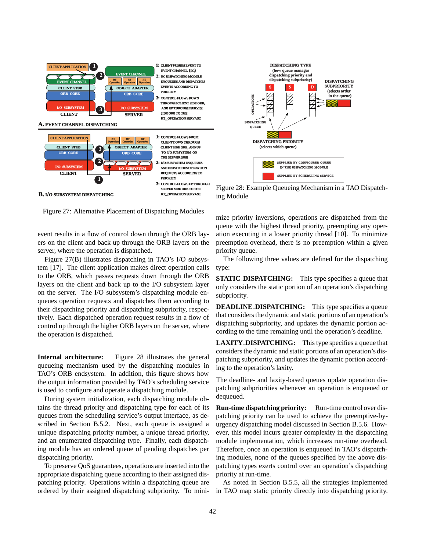

Figure 27: Alternative Placement of Dispatching Modules

event results in a flow of control down through the ORB layers on the client and back up through the ORB layers on the server, where the operation is dispatched.

Figure 27(B) illustrates dispatching in TAO's I/O subsystem [17]. The client application makes direct operation calls to the ORB, which passes requests down through the ORB layers on the client and back up to the I/O subsystem layer on the server. The I/O subsystem's dispatching module enqueues operation requests and dispatches them according to their dispatching priority and dispatching subpriority, respectively. Each dispatched operation request results in a flow of control up through the higher ORB layers on the server, where the operation is dispatched.

**Internal architecture:** Figure 28 illustrates the general queueing mechanism used by the dispatching modules in TAO's ORB endsystem. In addition, this figure shows how the output information provided by TAO's scheduling service is used to configure and operate a dispatching module.

During system initialization, each dispatching module obtains the thread priority and dispatching type for each of its queues from the scheduling service's output interface, as described in Section B.5.2. Next, each queue is assigned a unique dispatching priority number, a unique thread priority, and an enumerated dispatching type. Finally, each dispatching module has an ordered queue of pending dispatches per dispatching priority.

To preserve QoS guarantees, operations are inserted into the appropriate dispatching queue according to their assigned dispatching priority. Operations within a dispatching queue are ordered by their assigned dispatching subpriority. To mini-



Figure 28: Example Queueing Mechanism in a TAO Dispatching Module

mize priority inversions, operations are dispatched from the queue with the highest thread priority, preempting any operation executing in a lower priority thread [10]. To minimize preemption overhead, there is no preemption within a given priority queue.

The following three values are defined for the dispatching type:

**STATIC\_DISPATCHING:** This type specifies a queue that only considers the static portion of an operation's dispatching subpriority.

**DEADLINE\_DISPATCHING:** This type specifies a queue that considers the dynamic and static portions of an operation's dispatching subpriority, and updates the dynamic portion according to the time remaining until the operation's deadline.

**LAXITY DISPATCHING:** This type specifies a queue that considers the dynamic and static portions of an operation's dispatching subpriority, and updates the dynamic portion according to the operation's laxity.

The deadline- and laxity-based queues update operation dispatching subpriorities whenever an operation is enqueued or dequeued.

**Run-time dispatching priority:** Run-time control over dispatching priority can be used to achieve the preemptive-byurgency dispatching model discussed in Section B.5.6. However, this model incurs greater complexity in the dispatching module implementation, which increases run-time overhead. Therefore, once an operation is enqueued in TAO's dispatching modules, none of the queues specified by the above dispatching types exerts control over an operation's dispatching priority at run-time.

As noted in Section B.5.5, all the strategies implemented in TAO map static priority directly into dispatching priority.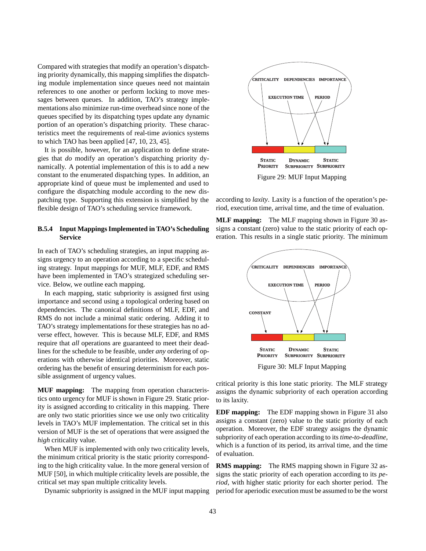Compared with strategies that modify an operation's dispatching priority dynamically, this mapping simplifies the dispatching module implementation since queues need not maintain references to one another or perform locking to move messages between queues. In addition, TAO's strategy implementations also minimize run-time overhead since none of the queues specified by its dispatching types update any dynamic portion of an operation's dispatching priority. These characteristics meet the requirements of real-time avionics systems to which TAO has been applied [47, 10, 23, 45].

It is possible, however, for an application to define strategies that *do* modify an operation's dispatching priority dynamically. A potential implementation of this is to add a new constant to the enumerated dispatching types. In addition, an appropriate kind of queue must be implemented and used to configure the dispatching module according to the new dispatching type. Supporting this extension is simplified by the flexible design of TAO's scheduling service framework.

#### **B.5.4 Input Mappings Implemented in TAO's Scheduling Service**

In each of TAO's scheduling strategies, an input mapping assigns urgency to an operation according to a specific scheduling strategy. Input mappings for MUF, MLF, EDF, and RMS have been implemented in TAO's strategized scheduling service. Below, we outline each mapping.

In each mapping, static subpriority is assigned first using importance and second using a topological ordering based on dependencies. The canonical definitions of MLF, EDF, and RMS do not include a minimal static ordering. Adding it to TAO's strategy implementations for these strategies has no adverse effect, however. This is because MLF, EDF, and RMS require that *all* operations are guaranteed to meet their deadlines for the schedule to be feasible, under *any* ordering of operations with otherwise identical priorities. Moreover, static ordering has the benefit of ensuring determinism for each possible assignment of urgency values.

**MUF mapping:** The mapping from operation characteristics onto urgency for MUF is shown in Figure 29. Static priority is assigned according to criticality in this mapping. There are only two static priorities since we use only two criticality levels in TAO's MUF implementation. The critical set in this version of MUF is the set of operations that were assigned the *high* criticality value.

When MUF is implemented with only two criticality levels, the minimum critical priority is the static priority corresponding to the high criticality value. In the more general version of MUF [50], in which multiple criticality levels are possible, the critical set may span multiple criticality levels.

Dynamic subpriority is assigned in the MUF input mapping



Figure 29: MUF Input Mapping

according to *laxity*. Laxity is a function of the operation's period, execution time, arrival time, and the time of evaluation.

**MLF mapping:** The MLF mapping shown in Figure 30 assigns a constant (zero) value to the static priority of each operation. This results in a single static priority. The minimum



Figure 30: MLF Input Mapping

critical priority is this lone static priority. The MLF strategy assigns the dynamic subpriority of each operation according to its laxity.

**EDF mapping:** The EDF mapping shown in Figure 31 also assigns a constant (zero) value to the static priority of each operation. Moreover, the EDF strategy assigns the dynamic subpriority of each operation according to its *time-to-deadline*, which is a function of its period, its arrival time, and the time of evaluation.

**RMS mapping:** The RMS mapping shown in Figure 32 assigns the static priority of each operation according to its *period*, with higher static priority for each shorter period. The period for aperiodic execution must be assumed to be the worst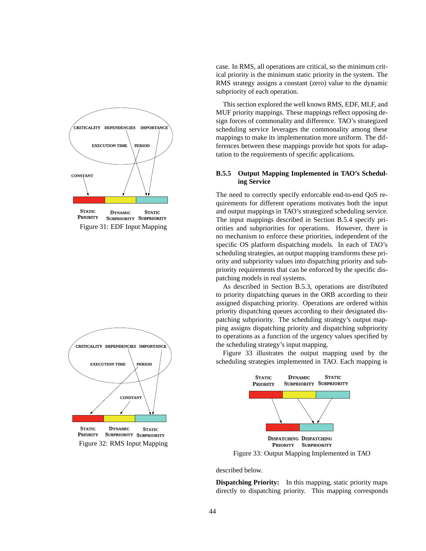

Figure 31: EDF Input Mapping



Figure 32: RMS Input Mapping

case. In RMS, all operations are critical, so the minimum critical priority is the minimum static priority in the system. The RMS strategy assigns a constant (zero) value to the dynamic subpriority of each operation.

This section explored the well known RMS, EDF, MLF, and MUF priority mappings. These mappings reflect opposing design forces of commonality and difference. TAO's strategized scheduling service leverages the commonality among these mappings to make its implementation more uniform. The differences between these mappings provide hot spots for adaptation to the requirements of specific applications.

#### **B.5.5 Output Mapping Implemented in TAO's Scheduling Service**

The need to correctly specify enforcable end-to-end QoS requirements for different operations motivates both the input and output mappings in TAO's strategized scheduling service. The input mappings described in Section B.5.4 specify priorities and subpriorities for operations. However, there is no mechanism to enforce these priorities, independent of the specific OS platform dispatching models. In each of TAO's scheduling strategies, an output mapping transforms these priority and subpriority values into dispatching priority and subpriority requirements that can be enforced by the specific dispatching models in real systems.

As described in Section B.5.3, operations are distributed to priority dispatching queues in the ORB according to their assigned dispatching priority. Operations are ordered within priority dispatching queues according to their designated dispatching subpriority. The scheduling strategy's output mapping assigns dispatching priority and dispatching subpriority to operations as a function of the urgency values specified by the scheduling strategy's input mapping.

Figure 33 illustrates the output mapping used by the scheduling strategies implemented in TAO. Each mapping is



Figure 33: Output Mapping Implemented in TAO

described below.

**Dispatching Priority:** In this mapping, static priority maps directly to dispatching priority. This mapping corresponds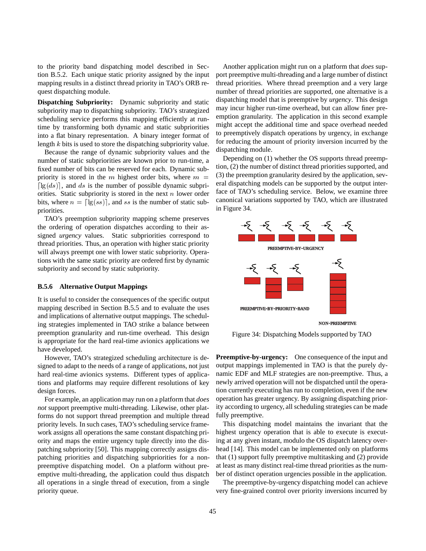to the priority band dispatching model described in Section B.5.2. Each unique static priority assigned by the input mapping results in a distinct thread priority in TAO's ORB request dispatching module.

**Dispatching Subpriority:** Dynamic subpriority and static subpriority map to dispatching subpriority. TAO's strategized scheduling service performs this mapping efficiently at runtime by transforming both dynamic and static subpriorities into a flat binary representation. A binary integer format of length <sup>k</sup> bits is used to store the dispatching subpriority value.

Because the range of dynamic subpriority values and the number of static subpriorities are known prior to run-time, a fixed number of bits can be reserved for each. Dynamic subpriority is stored in the m highest order bits, where  $m =$  $\lceil \lg(ds) \rceil$ , and ds is the number of possible dynamic subpriorities. Static subpriority is stored in the next  $n$  lower order bits, where  $n = \lfloor \lg(ss) \rfloor$ , and ss is the number of static subpriorities.

TAO's preemption subpriority mapping scheme preserves the ordering of operation dispatches according to their assigned *urgency* values. Static subpriorities correspond to thread priorities. Thus, an operation with higher static priority will always preempt one with lower static subpriority. Operations with the same static priority are ordered first by dynamic subpriority and second by static subpriority.

#### **B.5.6 Alternative Output Mappings**

It is useful to consider the consequences of the specific output mapping described in Section B.5.5 and to evaluate the uses and implications of alternative output mappings. The scheduling strategies implemented in TAO strike a balance between preemption granularity and run-time overhead. This design is appropriate for the hard real-time avionics applications we have developed.

However, TAO's strategized scheduling architecture is designed to adapt to the needs of a range of applications, not just hard real-time avionics systems. Different types of applications and platforms may require different resolutions of key design forces.

For example, an application may run on a platform that *does not* support preemptive multi-threading. Likewise, other platforms do not support thread preemption and multiple thread priority levels. In such cases, TAO's scheduling service framework assigns all operations the same constant dispatching priority and maps the entire urgency tuple directly into the dispatching subpriority [50]. This mapping correctly assigns dispatching priorities and dispatching subpriorities for a nonpreemptive dispatching model. On a platform without preemptive multi-threading, the application could thus dispatch all operations in a single thread of execution, from a single priority queue.

Another application might run on a platform that *does* support preemptive multi-threading and a large number of distinct thread priorities. Where thread preemption and a very large number of thread priorities are supported, one alternative is a dispatching model that is preemptive by *urgency*. This design may incur higher run-time overhead, but can allow finer preemption granularity. The application in this second example might accept the additional time and space overhead needed to preemptively dispatch operations by urgency, in exchange for reducing the amount of priority inversion incurred by the dispatching module.

Depending on (1) whether the OS supports thread preemption, (2) the number of distinct thread priorities supported, and (3) the preemption granularity desired by the application, several dispatching models can be supported by the output interface of TAO's scheduling service. Below, we examine three canonical variations supported by TAO, which are illustrated in Figure 34.



Figure 34: Dispatching Models supported by TAO

**Preemptive-by-urgency:** One consequence of the input and output mappings implemented in TAO is that the purely dynamic EDF and MLF strategies are non-preemptive. Thus, a newly arrived operation will not be dispatched until the operation currently executing has run to completion, even if the new operation has greater urgency. By assigning dispatching priority according to urgency, all scheduling strategies can be made fully preemptive.

This dispatching model maintains the invariant that the highest urgency operation that is able to execute is executing at any given instant, modulo the OS dispatch latency overhead [14]. This model can be implemented only on platforms that (1) support fully preemptive multitasking and (2) provide at least as many distinct real-time thread priorities as the number of distinct operation urgencies possible in the application.

The preemptive-by-urgency dispatching model can achieve very fine-grained control over priority inversions incurred by